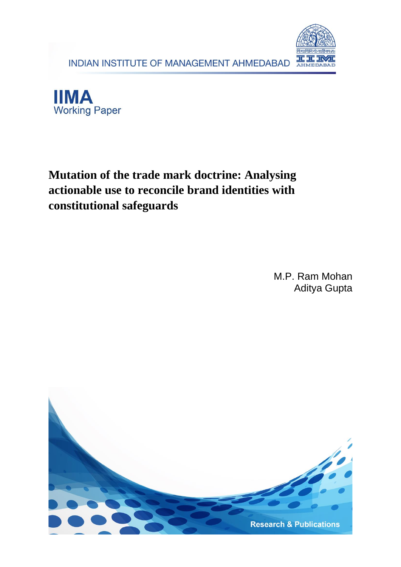





# **Mutation of the trade mark doctrine: Analysing actionable use to reconcile brand identities with constitutional safeguards**

M.P. Ram Mohan Aditya Gupta

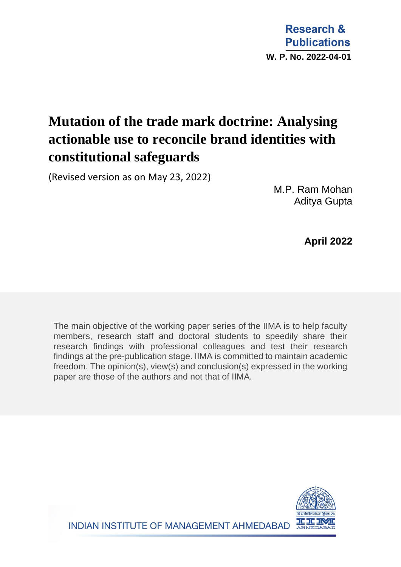**Research & Publications W. P. No. 2022-04-01**

# **Mutation of the trade mark doctrine: Analysing actionable use to reconcile brand identities with constitutional safeguards**

(Revised version as on May 23, 2022)

M.P. Ram Mohan Aditya Gupta

 **April 2022**

The main objective of the working paper series of the IIMA is to help faculty members, research staff and doctoral students to speedily share their research findings with professional colleagues and test their research findings at the pre-publication stage. IIMA is committed to maintain academic freedom. The opinion(s), view(s) and conclusion(s) expressed in the working paper are those of the authors and not that of IIMA.



INDIAN INSTITUTE OF MANAGEMENT AHMEDABAD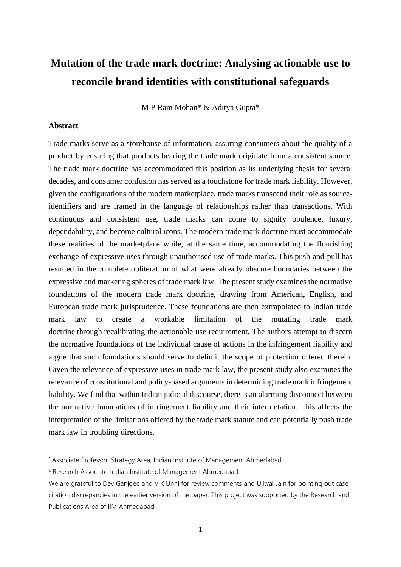# **Mutation of the trade mark doctrine: Analysing actionable use to reconcile brand identities with constitutional safeguards**

M P Ram Mohan\* & Aditya Gupta

#### **Abstract**

Trade marks serve as a storehouse of information, assuring consumers about the quality of a product by ensuring that products bearing the trade mark originate from a consistent source. The trade mark doctrine has accommodated this position as its underlying thesis for several decades, and consumer confusion has served as a touchstone for trade mark liability. However, given the configurations of the modern marketplace, trade marks transcend their role as sourceidentifiers and are framed in the language of relationships rather than transactions. With continuous and consistent use, trade marks can come to signify opulence, luxury, dependability, and become cultural icons. The modern trade mark doctrine must accommodate these realities of the marketplace while, at the same time, accommodating the flourishing exchange of expressive uses through unauthorised use of trade marks. This push-and-pull has resulted in the complete obliteration of what were already obscure boundaries between the expressive and marketing spheres of trade mark law. The present study examines the normative foundations of the modern trade mark doctrine, drawing from American, English, and European trade mark jurisprudence. These foundations are then extrapolated to Indian trade mark law to create a workable limitation of the mutating trade mark doctrine through recalibrating the actionable use requirement. The authors attempt to discern the normative foundations of the individual cause of actions in the infringement liability and argue that such foundations should serve to delimit the scope of protection offered therein. Given the relevance of expressive uses in trade mark law, the present study also examines the relevance of constitutional and policy-based arguments in determining trade mark infringement liability. We find that within Indian judicial discourse, there is an alarming disconnect between the normative foundations of infringement liability and their interpretation. This affects the interpretation of the limitations offered by the trade mark statute and can potentially push trade mark law in troubling directions.

\_\_\_\_\_\_\_\_\_\_\_\_\_\_\_\_\_\_\_\_\_\_\_\_\_\_\_\_\_\_

<sup>\*</sup> Associate Professor, Strategy Area, Indian Institute of Management Ahmedabad

Research Associate, Indian Institute of Management Ahmedabad.

We are grateful to Dev Ganjgee and V K Unni for review comments and Ujjwal Jain for pointing out case citation discrepancies in the earlier version of the paper. This project was supported by the Research and Publications Area of IIM Ahmedabad.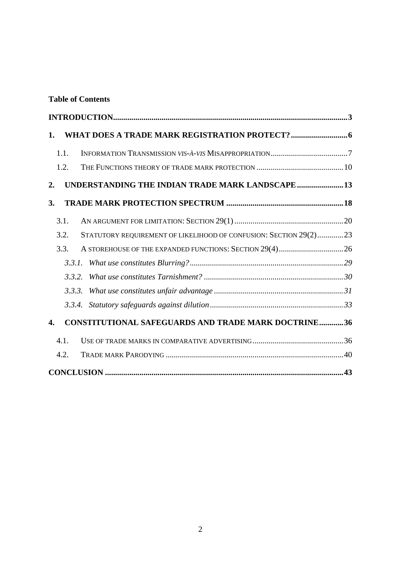# **Table of Contents**

| INTRODUCTION 3                                                               |  |
|------------------------------------------------------------------------------|--|
| 1.                                                                           |  |
| 1.1.                                                                         |  |
| 1.2.                                                                         |  |
| UNDERSTANDING THE INDIAN TRADE MARK LANDSCAPE13<br>2.                        |  |
| 3.                                                                           |  |
| 3.1.                                                                         |  |
| STATUTORY REQUIREMENT OF LIKELIHOOD OF CONFUSION: SECTION 29(2)23<br>3.2.    |  |
| 3.3.                                                                         |  |
| 3.3.1.                                                                       |  |
| 3.3.2.                                                                       |  |
| 3.3.3.                                                                       |  |
|                                                                              |  |
| <b>CONSTITUTIONAL SAFEGUARDS AND TRADE MARK DOCTRINE36</b><br>$\mathbf{4}$ . |  |
| 4.1.                                                                         |  |
| 4.2.                                                                         |  |
|                                                                              |  |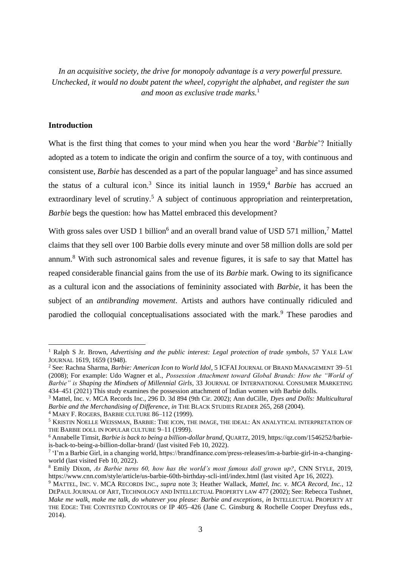*In an acquisitive society, the drive for monopoly advantage is a very powerful pressure. Unchecked, it would no doubt patent the wheel, copyright the alphabet, and register the sun and moon as exclusive trade marks.*<sup>1</sup>

# <span id="page-4-0"></span>**Introduction**

What is the first thing that comes to your mind when you hear the word '*Barbie*'? Initially adopted as a totem to indicate the origin and confirm the source of a toy, with continuous and consistent use, *Barbie* has descended as a part of the popular language<sup>2</sup> and has since assumed the status of a cultural icon.<sup>3</sup> Since its initial launch in 1959,<sup>4</sup> *Barbie* has accrued an extraordinary level of scrutiny.<sup>5</sup> A subject of continuous appropriation and reinterpretation, *Barbie* begs the question: how has Mattel embraced this development?

With gross sales over USD 1 billion<sup>6</sup> and an overall brand value of USD 571 million,<sup>7</sup> Mattel claims that they sell over 100 Barbie dolls every minute and over 58 million dolls are sold per annum.<sup>8</sup> With such astronomical sales and revenue figures, it is safe to say that Mattel has reaped considerable financial gains from the use of its *Barbie* mark. Owing to its significance as a cultural icon and the associations of femininity associated with *Barbie,* it has been the subject of an *antibranding movement*. Artists and authors have continually ridiculed and parodied the colloquial conceptualisations associated with the mark.<sup>9</sup> These parodies and

<sup>1</sup> Ralph S Jr. Brown, *Advertising and the public interest: Legal protection of trade symbols*, 57 YALE LAW JOURNAL 1619, 1659 (1948).

<sup>2</sup> See: Rachna Sharma, *Barbie: American Icon to World Idol*, 5 ICFAI JOURNAL OF BRAND MANAGEMENT 39–51 (2008); For example: Udo Wagner et al., *Possession Attachment toward Global Brands: How the "World of Barbie" is Shaping the Mindsets of Millennial Girls*, 33 JOURNAL OF INTERNATIONAL CONSUMER MARKETING 434–451 (2021) This study examines the possession attachment of Indian women with Barbie dolls.

<sup>3</sup> Mattel, Inc. v. MCA Records Inc., 296 D. 3d 894 (9th Cir. 2002); Ann duCille, *Dyes and Dolls: Multicultural Barbie and the Merchandising of Difference*, *in* THE BLACK STUDIES READER 265, 268 (2004).

<sup>4</sup> MARY F. ROGERS, BARBIE CULTURE 86–112 (1999).

<sup>5</sup> KRISTIN NOELLE WEISSMAN, BARBIE: THE ICON, THE IMAGE, THE IDEAL: AN ANALYTICAL INTERPRETATION OF THE BARBIE DOLL IN POPULAR CULTURE 9–11 (1999).

<sup>6</sup> Annabelle Timsit, *Barbie is back to being a billion-dollar brand*, QUARTZ, 2019, https://qz.com/1546252/barbieis-back-to-being-a-billion-dollar-brand/ (last visited Feb 10, 2022).

<sup>7</sup> 'I'm a Barbie Girl, in a changing world, https://brandfinance.com/press-releases/im-a-barbie-girl-in-a-changingworld (last visited Feb 10, 2022).

<sup>8</sup> Emily Dixon, *As Barbie turns 60, how has the world's most famous doll grown up?*, CNN STYLE, 2019, https://www.cnn.com/style/article/us-barbie-60th-birthday-scli-intl/index.html (last visited Apr 16, 2022).

<sup>9</sup> MATTEL, INC. V. MCA RECORDS INC., *supra* note 3; Heather Wallack, *Mattel, Inc. v. MCA Record, Inc.*, 12 DEPAUL JOURNAL OF ART, TECHNOLOGY AND INTELLECTUAL PROPERTY LAW 477 (2002); See: Rebecca Tushnet, *Make me walk, make me talk, do whatever you please: Barbie and exceptions*, *in* INTELLECTUAL PROPERTY AT THE EDGE: THE CONTESTED CONTOURS OF IP 405-426 (Jane C. Ginsburg & Rochelle Cooper Dreyfuss eds., 2014).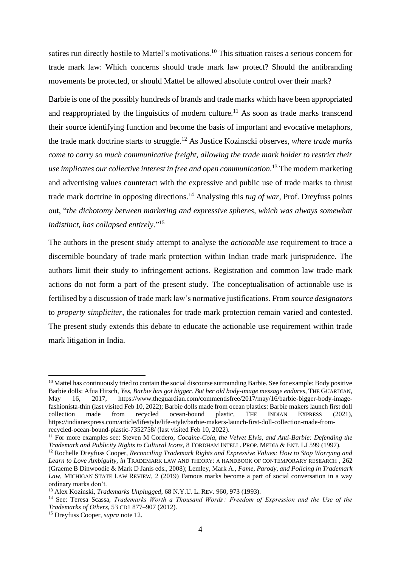satires run directly hostile to Mattel's motivations.<sup>10</sup> This situation raises a serious concern for trade mark law: Which concerns should trade mark law protect? Should the antibranding movements be protected, or should Mattel be allowed absolute control over their mark?

Barbie is one of the possibly hundreds of brands and trade marks which have been appropriated and reappropriated by the linguistics of modern culture.<sup>11</sup> As soon as trade marks transcend their source identifying function and become the basis of important and evocative metaphors, the trade mark doctrine starts to struggle.<sup>12</sup> As Justice Kozinscki observes, *where trade marks come to carry so much communicative freight, allowing the trade mark holder to restrict their use implicates our collective interest in free and open communication.*<sup>13</sup> The modern marketing and advertising values counteract with the expressive and public use of trade marks to thrust trade mark doctrine in opposing directions.<sup>14</sup> Analysing this *tug of war,* Prof. Dreyfuss points out, "*the dichotomy between marketing and expressive spheres, which was always somewhat indistinct, has collapsed entirely.*" 15

The authors in the present study attempt to analyse the *actionable use* requirement to trace a discernible boundary of trade mark protection within Indian trade mark jurisprudence. The authors limit their study to infringement actions. Registration and common law trade mark actions do not form a part of the present study. The conceptualisation of actionable use is fertilised by a discussion of trade mark law's normative justifications. From *source designators* to *property simpliciter*, the rationales for trade mark protection remain varied and contested. The present study extends this debate to educate the actionable use requirement within trade mark litigation in India.

<sup>&</sup>lt;sup>10</sup> Mattel has continuously tried to contain the social discourse surrounding Barbie. See for example: Body positive Barbie dolls: Afua Hirsch, *Yes, Barbie has got bigger. But her old body-image message endures*, THE GUARDIAN, May 16, 2017, https://www.theguardian.com/commentisfree/2017/may/16/barbie-bigger-body-imagefashionista-thin (last visited Feb 10, 2022); Barbie dolls made from ocean plastics: Barbie makers launch first doll collection made from recycled ocean-bound plastic, THE INDIAN EXPRESS (2021), https://indianexpress.com/article/lifestyle/life-style/barbie-makers-launch-first-doll-collection-made-fromrecycled-ocean-bound-plastic-7352758/ (last visited Feb 10, 2022).

<sup>&</sup>lt;sup>11</sup> For more examples see: Steven M Cordero, *Cocaine-Cola, the Velvet Elvis, and Anti-Barbie: Defending the Trademark and Publicity Rights to Cultural Icons*, 8 FORDHAM INTELL. PROP. MEDIA & ENT. LJ 599 (1997).

<sup>12</sup> Rochelle Dreyfuss Cooper, *Reconciling Trademark Rights and Expressive Values: How to Stop Worrying and Learn to Love Ambiguity*, *in* TRADEMARK LAW AND THEORY: A HANDBOOK OF CONTEMPORARY RESEARCH , 262 (Graeme B Dinwoodie & Mark D Janis eds., 2008); Lemley, Mark A., *Fame, Parody, and Policing in Trademark Law*, MICHIGAN STATE LAW REVIEW, 2 (2019) Famous marks become a part of social conversation in a way ordinary marks don't.

<sup>13</sup> Alex Kozinski, *Trademarks Unplugged*, 68 N.Y.U. L. REV. 960, 973 (1993).

<sup>14</sup> See: Teresa Scassa, *Trademarks Worth a Thousand Words : Freedom of Expression and the Use of the Trademarks of Others*, 53 CD1 877–907 (2012).

<sup>15</sup> Dreyfuss Cooper, *supra* note 12.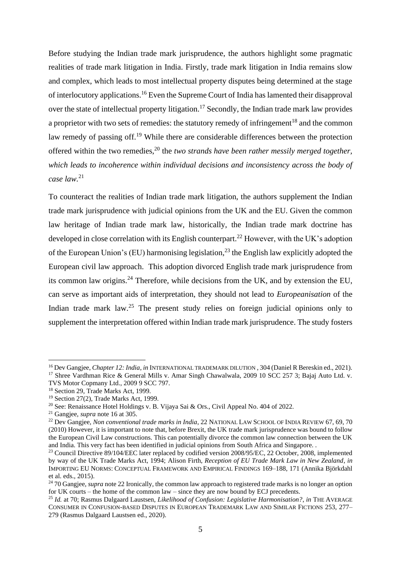Before studying the Indian trade mark jurisprudence, the authors highlight some pragmatic realities of trade mark litigation in India. Firstly, trade mark litigation in India remains slow and complex, which leads to most intellectual property disputes being determined at the stage of interlocutory applications.<sup>16</sup> Even the Supreme Court of India has lamented their disapproval over the state of intellectual property litigation.<sup>17</sup> Secondly, the Indian trade mark law provides a proprietor with two sets of remedies: the statutory remedy of infringement<sup>18</sup> and the common law remedy of passing off.<sup>19</sup> While there are considerable differences between the protection offered within the two remedies,<sup>20</sup> the *two strands have been rather messily merged together, which leads to incoherence within individual decisions and inconsistency across the body of case law.*<sup>21</sup>

To counteract the realities of Indian trade mark litigation, the authors supplement the Indian trade mark jurisprudence with judicial opinions from the UK and the EU. Given the common law heritage of Indian trade mark law, historically, the Indian trade mark doctrine has developed in close correlation with its English counterpart.<sup>22</sup> However, with the UK's adoption of the European Union's (EU) harmonising legislation,<sup>23</sup> the English law explicitly adopted the European civil law approach. This adoption divorced English trade mark jurisprudence from its common law origins.<sup>24</sup> Therefore, while decisions from the UK, and by extension the EU, can serve as important aids of interpretation, they should not lead to *Europeanisation* of the Indian trade mark law.<sup>25</sup> The present study relies on foreign judicial opinions only to supplement the interpretation offered within Indian trade mark jurisprudence. The study fosters

<sup>&</sup>lt;sup>16</sup> Dev Gangjee, *Chapter 12: India*, *in* INTERNATIONAL TRADEMARK DILUTION, 304 (Daniel R Bereskin ed., 2021). <sup>17</sup> Shree Vardhman Rice & General Mills v. Amar Singh Chawalwala, 2009 10 SCC 257 3; Bajaj Auto Ltd. v.

TVS Motor Copmany Ltd., 2009 9 SCC 797.

<sup>&</sup>lt;sup>18</sup> Section 29, Trade Marks Act, 1999.

<sup>19</sup> Section 27(2), Trade Marks Act, 1999.

<sup>&</sup>lt;sup>20</sup> See: Renaissance Hotel Holdings v. B. Vijaya Sai & Ors., Civil Appeal No. 404 of 2022.

<sup>21</sup> Gangjee, *supra* note 16 at 305.

<sup>&</sup>lt;sup>22</sup> Dev Gangjee, *Non conventional trade marks in India*, 22 NATIONAL LAW SCHOOL OF INDIA REVIEW 67, 69, 70 (2010) However, it is important to note that, before Brexit, the UK trade mark jurisprudence was bound to follow the European Civil Law constructions. This can potentially divorce the common law connection between the UK and India. This very fact has been identified in judicial opinions from South Africa and Singapore. .

<sup>&</sup>lt;sup>23</sup> Council Directive 89/104/EEC later replaced by codified version 2008/95/EC, 22 October, 2008, implemented by way of the UK Trade Marks Act, 1994; Alison Firth, *Reception of EU Trade Mark Law in New Zealand*, *in* IMPORTING EU NORMS: CONCEPTUAL FRAMEWORK AND EMPIRICAL FINDINGS 169–188, 171 (Annika Björkdahl et al. eds., 2015).

<sup>&</sup>lt;sup>24</sup> 70 Gangiee, *supra* note 22 Ironically, the common law approach to registered trade marks is no longer an option for UK courts – the home of the common law – since they are now bound by ECJ precedents.

<sup>25</sup> *Id.* at 70; Rasmus Dalgaard Laustsen, *Likelihood of Confusion: Legislative Harmonisation?*, *in* THE AVERAGE CONSUMER IN CONFUSION-BASED DISPUTES IN EUROPEAN TRADEMARK LAW AND SIMILAR FICTIONS 253, 277– 279 (Rasmus Dalgaard Laustsen ed., 2020).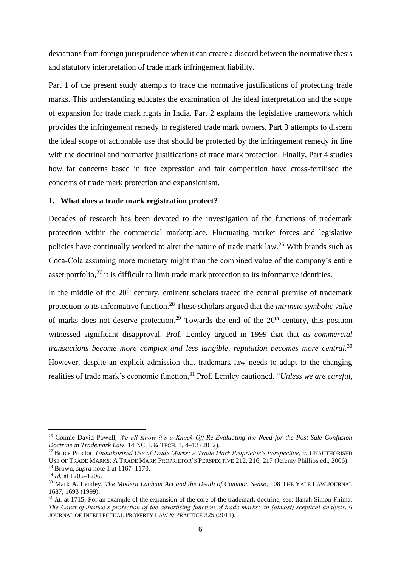deviations from foreign jurisprudence when it can create a discord between the normative thesis and statutory interpretation of trade mark infringement liability.

Part 1 of the present study attempts to trace the normative justifications of protecting trade marks. This understanding educates the examination of the ideal interpretation and the scope of expansion for trade mark rights in India. Part 2 explains the legislative framework which provides the infringement remedy to registered trade mark owners. Part 3 attempts to discern the ideal scope of actionable use that should be protected by the infringement remedy in line with the doctrinal and normative justifications of trade mark protection. Finally, Part 4 studies how far concerns based in free expression and fair competition have cross-fertilised the concerns of trade mark protection and expansionism.

#### <span id="page-7-0"></span>**1. What does a trade mark registration protect?**

Decades of research has been devoted to the investigation of the functions of trademark protection within the commercial marketplace. Fluctuating market forces and legislative policies have continually worked to alter the nature of trade mark law*.* <sup>26</sup> With brands such as Coca-Cola assuming more monetary might than the combined value of the company's entire asset portfolio, $27$  it is difficult to limit trade mark protection to its informative identities.

In the middle of the  $20<sup>th</sup>$  century, eminent scholars traced the central premise of trademark protection to its informative function. <sup>28</sup> These scholars argued that the *intrinsic symbolic value*  of marks does not deserve protection.<sup>29</sup> Towards the end of the  $20<sup>th</sup>$  century, this position witnessed significant disapproval. Prof. Lemley argued in 1999 that that *as commercial transactions become more complex and less tangible, reputation becomes more central.*<sup>30</sup> However, despite an explicit admission that trademark law needs to adapt to the changing realities of trade mark's economic function,<sup>31</sup> Prof. Lemley cautioned, "*Unless we are careful*,

<sup>26</sup> Connie David Powell, *We all Know it's a Knock Off-Re-Evaluating the Need for the Post-Sale Confusion Doctrine in Trademark Law*, 14 NCJL & TECH. 1, 4–13 (2012).

<sup>27</sup> Bruce Proctor, *Unauthorised Use of Trade Marks: A Trade Mark Proprietor's Perspective*, *in* UNAUTHORISED USE OF TRADE MARKS: A TRADE MARK PROPRIETOR'S PERSPECTIVE 212, 216, 217 (Jeremy Phillips ed., 2006). <sup>28</sup> Brown, *supra* note 1 at 1167–1170.

<sup>29</sup> *Id.* at 1205–1206.

<sup>30</sup> Mark A. Lemley, *The Modern Lanham Act and the Death of Common Sense*, 108 THE YALE LAW JOURNAL 1687, 1693 (1999).

<sup>&</sup>lt;sup>31</sup> *Id.* at 1715; For an example of the expansion of the core of the trademark doctrine, see: Ilanah Simon Fhima, *The Court of Justice's protection of the advertising function of trade marks: an (almost) sceptical analysis*, 6 JOURNAL OF INTELLECTUAL PROPERTY LAW & PRACTICE 325 (2011).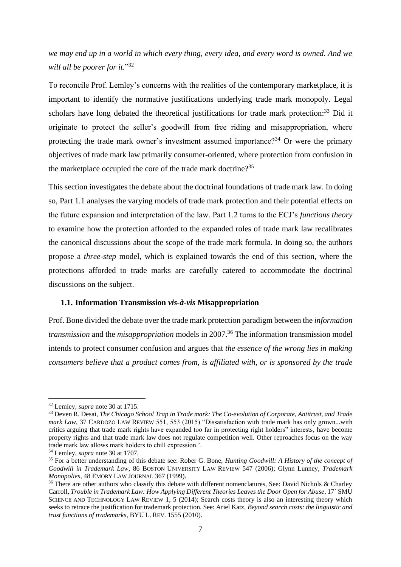*we may end up in a world in which every thing, every idea, and every word is owned. And we will all be poorer for it.*" 32

To reconcile Prof. Lemley's concerns with the realities of the contemporary marketplace, it is important to identify the normative justifications underlying trade mark monopoly. Legal scholars have long debated the theoretical justifications for trade mark protection:<sup>33</sup> Did it originate to protect the seller's goodwill from free riding and misappropriation, where protecting the trade mark owner's investment assumed importance?<sup>34</sup> Or were the primary objectives of trade mark law primarily consumer-oriented, where protection from confusion in the marketplace occupied the core of the trade mark doctrine?<sup>35</sup>

This section investigates the debate about the doctrinal foundations of trade mark law. In doing so, Part 1.1 analyses the varying models of trade mark protection and their potential effects on the future expansion and interpretation of the law. Part 1.2 turns to the ECJ's *functions theory* to examine how the protection afforded to the expanded roles of trade mark law recalibrates the canonical discussions about the scope of the trade mark formula. In doing so, the authors propose a *three-step* model, which is explained towards the end of this section, where the protections afforded to trade marks are carefully catered to accommodate the doctrinal discussions on the subject.

#### <span id="page-8-0"></span>**1.1. Information Transmission** *vis-à-vis* **Misappropriation**

Prof. Bone divided the debate over the trade mark protection paradigm between the *information transmission* and the *misappropriation* models in 2007.<sup>36</sup> The information transmission model intends to protect consumer confusion and argues that *the essence of the wrong lies in making consumers believe that a product comes from, is affiliated with, or is sponsored by the trade* 

<sup>32</sup> Lemley, *supra* note 30 at 1715.

<sup>33</sup> Deven R. Desai, *The Chicago School Trap in Trade mark: The Co-evolution of Corporate, Antitrust, and Trade mark Law*, 37 CARDOZO LAW REVIEW 551, 553 (2015) "Dissatisfaction with trade mark has only grown...with critics arguing that trade mark rights have expanded too far in protecting right holders" interests, have become property rights and that trade mark law does not regulate competition well. Other reproaches focus on the way trade mark law allows mark holders to chill expression.'.

<sup>34</sup> Lemley, *supra* note 30 at 1707.

<sup>35</sup> For a better understanding of this debate see: Rober G. Bone, *Hunting Goodwill: A History of the concept of Goodwill in Trademark Law*, 86 BOSTON UNIVERSITY LAW REVIEW 547 (2006); Glynn Lunney, *Trademark Monopolies*, 48 EMORY LAW JOURNAL 367 (1999).

<sup>&</sup>lt;sup>36</sup> There are other authors who classify this debate with different nomenclatures. See: David Nichols & Charley Carroll, *Trouble in Trademark Law: How Applying Different Theories Leaves the Door Open for Abuse*, 17` SMU SCIENCE AND TECHNOLOGY LAW REVIEW 1, 5 (2014); Search costs theory is also an interesting theory which seeks to retrace the justification for trademark protection. See: Ariel Katz, *Beyond search costs: the linguistic and trust functions of trademarks*, BYU L. REV. 1555 (2010).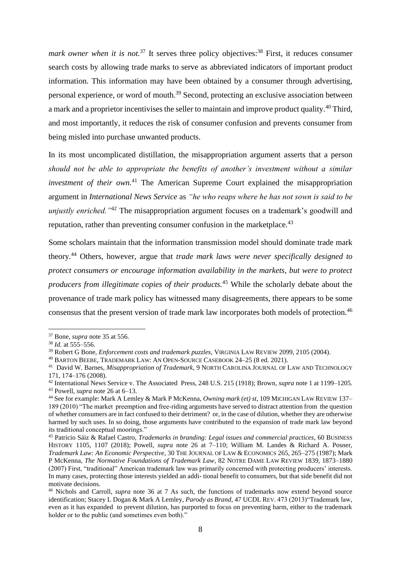mark *owner when it is not.*<sup>37</sup> It serves three policy objectives:<sup>38</sup> First, it reduces consumer search costs by allowing trade marks to serve as abbreviated indicators of important product information. This information may have been obtained by a consumer through advertising, personal experience, or word of mouth.<sup>39</sup> Second, protecting an exclusive association between a mark and a proprietor incentivises the seller to maintain and improve product quality.<sup>40</sup> Third, and most importantly, it reduces the risk of consumer confusion and prevents consumer from being misled into purchase unwanted products.

In its most uncomplicated distillation, the misappropriation argument asserts that a person *should not be able to appropriate the benefits of another's investment without a similar investment of their own.*<sup>41</sup> The American Supreme Court explained the misappropriation argument in *International News Service* as *"he who reaps where he has not sown is said to be unjustly enriched.* "<sup>42</sup> The misappropriation argument focuses on a trademark's goodwill and reputation, rather than preventing consumer confusion in the marketplace.<sup>43</sup>

Some scholars maintain that the information transmission model should dominate trade mark theory*.* <sup>44</sup> Others, however, argue that *trade mark laws were never specifically designed to protect consumers or encourage information availability in the markets, but were to protect producers from illegitimate copies of their products.*<sup>45</sup> While the scholarly debate about the provenance of trade mark policy has witnessed many disagreements, there appears to be some consensus that the present version of trade mark law incorporates both models of protection.<sup>46</sup>

<sup>37</sup> Bone, *supra* note 35 at 556.

<sup>38</sup> *Id.* at 555–556.

<sup>39</sup> Robert G Bone, *Enforcement costs and trademark puzzles*, VIRGINIA LAW REVIEW 2099, 2105 (2004).

<sup>40</sup> BARTON BEEBE, TRADEMARK LAW: AN OPEN-SOURCE CASEBOOK 24–25 (8 ed. 2021).

<sup>41</sup> David W. Barnes, *Misappropriation of Trademark*, 9 NORTH CAROLINA JOURNAL OF LAW AND TECHNOLOGY 171, 174–176 (2008).

<sup>42</sup> International News Service v. The Associated Press, 248 U.S. 215 (1918); Brown, *supra* note 1 at 1199–1205. <sup>43</sup> Powell, *supra* note 26 at 6–13.

<sup>44</sup> See for example: Mark A Lemley & Mark P McKenna, *Owning mark (et) st*, 109 MICHIGAN LAW REVIEW 137– 189 (2010) "The market preemption and free-riding arguments have served to distract attention from the question of whether consumers are in fact confused to their detriment? or, in the case of dilution, whether they are otherwise harmed by such uses. In so doing, those arguments have contributed to the expansion of trade mark law beyond its traditional conceptual moorings."

<sup>45</sup> Patricio Sáiz & Rafael Castro, *Trademarks in branding: Legal issues and commercial practices*, 60 BUSINESS HISTORY 1105, 1107 (2018); Powell, *supra* note 26 at 7–110; William M. Landes & Richard A. Posner, *Trademark Law: An Economic Perspective*, 30 THE JOURNAL OF LAW & ECONOMICS 265, 265–275 (1987); Mark P McKenna, *The Normative Foundations of Trademark Law*, 82 NOTRE DAME LAW REVIEW 1839, 1873–1880 (2007) First, "traditional" American trademark law was primarily concerned with protecting producers' interests. In many cases, protecting those interests yielded an addi- tional benefit to consumers, but that side benefit did not motivate decisions.

<sup>46</sup> Nichols and Carroll, *supra* note 36 at 7 As such, the functions of trademarks now extend beyond source identification; Stacey L Dogan & Mark A Lemley, *Parody as Brand*, 47 UCDL REV. 473 (2013)"Trademark law, even as it has expanded to prevent dilution, has purported to focus on preventing harm, either to the trademark holder or to the public (and sometimes even both)."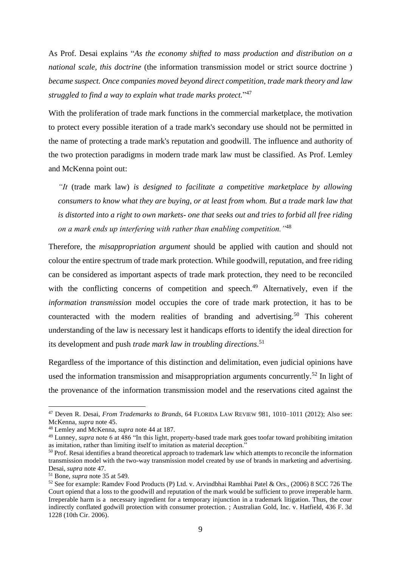As Prof. Desai explains "*As the economy shifted to mass production and distribution on a national scale, this doctrine* (the information transmission model or strict source doctrine) *became suspect. Once companies moved beyond direct competition, trade mark theory and law struggled to find a way to explain what trade marks protect.*" 47

With the proliferation of trade mark functions in the commercial marketplace, the motivation to protect every possible iteration of a trade mark's secondary use should not be permitted in the name of protecting a trade mark's reputation and goodwill. The influence and authority of the two protection paradigms in modern trade mark law must be classified. As Prof. Lemley and McKenna point out:

*"It* (trade mark law) *is designed to facilitate a competitive marketplace by allowing consumers to know what they are buying, or at least from whom. But a trade mark law that is distorted into a right to own markets- one that seeks out and tries to forbid all free riding on a mark ends up interfering with rather than enabling competition."*<sup>48</sup>

Therefore, the *misappropriation argument* should be applied with caution and should not colour the entire spectrum of trade mark protection. While goodwill, reputation, and free riding can be considered as important aspects of trade mark protection, they need to be reconciled with the conflicting concerns of competition and speech.<sup>49</sup> Alternatively, even if the *information transmission* model occupies the core of trade mark protection, it has to be counteracted with the modern realities of branding and advertising.<sup>50</sup> This coherent understanding of the law is necessary lest it handicaps efforts to identify the ideal direction for its development and push *trade mark law in troubling directions*. 51

Regardless of the importance of this distinction and delimitation, even judicial opinions have used the information transmission and misappropriation arguments concurrently.<sup>52</sup> In light of the provenance of the information transmission model and the reservations cited against the

<sup>47</sup> Deven R. Desai, *From Trademarks to Brands*, 64 FLORIDA LAW REVIEW 981, 1010–1011 (2012); Also see: McKenna, *supra* note 45.

<sup>48</sup> Lemley and McKenna, *supra* note 44 at 187.

<sup>&</sup>lt;sup>49</sup> Lunney, *supra* note 6 at 486 "In this light, property-based trade mark goes toofar toward prohibiting imitation as imitation, rather than limiting itself to imitation as material deception."

 $50$  Prof. Resai identifies a brand theoretical approach to trademark law which attempts to reconcile the information transmission model with the two-way transmission model created by use of brands in marketing and advertising. Desai, *supra* note 47.

<sup>51</sup> Bone, *supra* note 35 at 549.

<sup>52</sup> See for example: Ramdev Food Products (P) Ltd. v. Arvindbhai Rambhai Patel & Ors., (2006) 8 SCC 726 The Court opiend that a loss to the goodwill and reputation of the mark would be sufficient to prove irreperable harm. Irreperable harm is a necessary ingredient for a temporary injunction in a trademark litigation. Thus, the cour indirectly conflated godwill protection with consumer protection. ; Australian Gold, Inc. v. Hatfield, 436 F. 3d 1228 (10th Cir. 2006).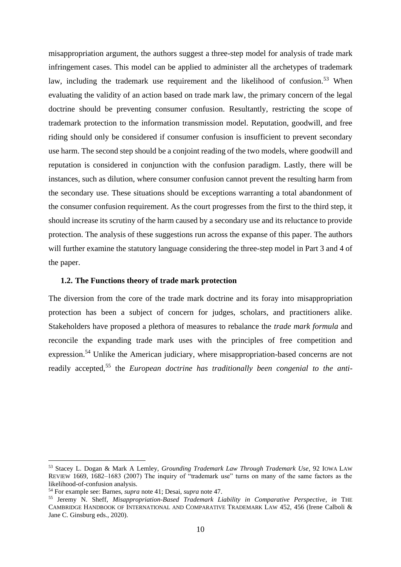misappropriation argument, the authors suggest a three-step model for analysis of trade mark infringement cases. This model can be applied to administer all the archetypes of trademark law, including the trademark use requirement and the likelihood of confusion.<sup>53</sup> When evaluating the validity of an action based on trade mark law, the primary concern of the legal doctrine should be preventing consumer confusion. Resultantly, restricting the scope of trademark protection to the information transmission model. Reputation, goodwill, and free riding should only be considered if consumer confusion is insufficient to prevent secondary use harm. The second step should be a conjoint reading of the two models, where goodwill and reputation is considered in conjunction with the confusion paradigm. Lastly, there will be instances, such as dilution, where consumer confusion cannot prevent the resulting harm from the secondary use. These situations should be exceptions warranting a total abandonment of the consumer confusion requirement. As the court progresses from the first to the third step, it should increase its scrutiny of the harm caused by a secondary use and its reluctance to provide protection. The analysis of these suggestions run across the expanse of this paper. The authors will further examine the statutory language considering the three-step model in Part 3 and 4 of the paper.

#### <span id="page-11-0"></span>**1.2. The Functions theory of trade mark protection**

The diversion from the core of the trade mark doctrine and its foray into misappropriation protection has been a subject of concern for judges, scholars, and practitioners alike. Stakeholders have proposed a plethora of measures to rebalance the *trade mark formula* and reconcile the expanding trade mark uses with the principles of free competition and expression.<sup>54</sup> Unlike the American judiciary, where misappropriation-based concerns are not readily accepted,<sup>55</sup> the *European doctrine has traditionally been congenial to the anti-*

<sup>53</sup> Stacey L. Dogan & Mark A Lemley, *Grounding Trademark Law Through Trademark Use*, 92 IOWA LAW REVIEW 1669, 1682–1683 (2007) The inquiry of "trademark use" turns on many of the same factors as the likelihood-of-confusion analysis.

<sup>54</sup> For example see: Barnes, *supra* note 41; Desai, *supra* note 47.

<sup>55</sup> Jeremy N. Sheff, *Misappropriation-Based Trademark Liability in Comparative Perspective*, *in* THE CAMBRIDGE HANDBOOK OF INTERNATIONAL AND COMPARATIVE TRADEMARK LAW 452, 456 (Irene Calboli & Jane C. Ginsburg eds., 2020).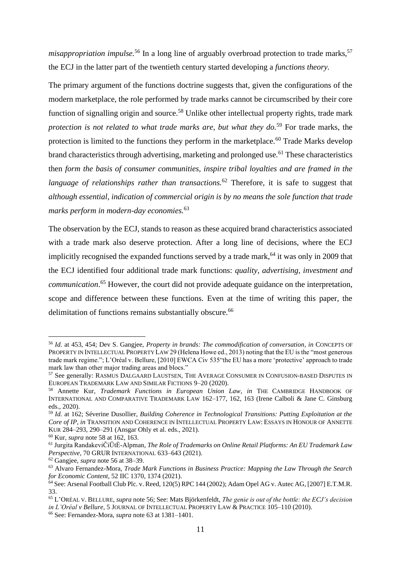*misappropriation impulse*.<sup>56</sup> In a long line of arguably overbroad protection to trade marks.<sup>57</sup> the ECJ in the latter part of the twentieth century started developing a *functions theory.* 

The primary argument of the functions doctrine suggests that, given the configurations of the modern marketplace, the role performed by trade marks cannot be circumscribed by their core function of signalling origin and source.<sup>58</sup> Unlike other intellectual property rights, trade mark *protection is not related to what trade marks are, but what they do.*<sup>59</sup> For trade marks, the protection is limited to the functions they perform in the marketplace. $^{60}$  Trade Marks develop brand characteristics through advertising, marketing and prolonged use.<sup>61</sup> These characteristics then *form the basis of consumer communities, inspire tribal loyalties and are framed in the language of relationships rather than transactions.*<sup>62</sup> Therefore, it is safe to suggest that *although essential, indication of commercial origin is by no means the sole function that trade marks perform in modern-day economies.*<sup>63</sup>

The observation by the ECJ, stands to reason as these acquired brand characteristics associated with a trade mark also deserve protection. After a long line of decisions, where the ECJ implicitly recognised the expanded functions served by a trade mark, <sup>64</sup> it was only in 2009 that the ECJ identified four additional trade mark functions: *quality, advertising, investment and communication*. <sup>65</sup> However, the court did not provide adequate guidance on the interpretation, scope and difference between these functions. Even at the time of writing this paper, the delimitation of functions remains substantially obscure.<sup>66</sup>

<sup>56</sup> *Id.* at 453, 454; Dev S. Gangjee, *Property in brands: The commodification of conversation*, *in* CONCEPTS OF PROPERTY IN INTELLECTUAL PROPERTY LAW 29 (Helena Howe ed., 2013) noting that the EU is the "most generous trade mark regime."; L'Oréal v. Bellure, [2010] EWCA Civ 535"the EU has a more 'protective' approach to trade mark law than other major trading areas and blocs."

<sup>&</sup>lt;sup>57</sup> See generally: RASMUS DALGAARD LAUSTSEN, THE AVERAGE CONSUMER IN CONFUSION-BASED DISPUTES IN EUROPEAN TRADEMARK LAW AND SIMILAR FICTIONS 9–20 (2020).

<sup>58</sup> Annette Kur, *Trademark Functions in European Union Law*, *in* THE CAMBRIDGE HANDBOOK OF INTERNATIONAL AND COMPARATIVE TRADEMARK LAW 162–177, 162, 163 (Irene Calboli & Jane C. Ginsburg eds., 2020).

<sup>59</sup> *Id.* at 162; Séverine Dusollier, *Building Coherence in Technological Transitions: Putting Exploitation at the Core of IP*, *in* TRANSITION AND COHERENCE IN INTELLECTUAL PROPERTY LAW: ESSAYS IN HONOUR OF ANNETTE KUR 284–293, 290–291 (Ansgar Ohly et al. eds., 2021).

<sup>60</sup> Kur, *supra* note 58 at 162, 163.

<sup>61</sup> Jurgita RandakeviČiŪtĖ-Alpman, *The Role of Trademarks on Online Retail Platforms: An EU Trademark Law Perspective*, 70 GRUR INTERNATIONAL 633–643 (2021).

<sup>62</sup> Gangjee, *supra* note 56 at 38–39.

<sup>63</sup> Alvaro Fernandez-Mora, *Trade Mark Functions in Business Practice: Mapping the Law Through the Search for Economic Content*, 52 IIC 1370, 1374 (2021).

 $\overline{64}$  See: Arsenal Football Club Plc. v. Reed, 120(5) RPC 144 (2002); Adam Opel AG v. Autec AG, [2007] E.T.M.R. 33.

<sup>65</sup> L'ORÉAL V. BELLURE, *supra* note 56; See: Mats Björkenfeldt, *The genie is out of the bottle: the ECJ's decision in L'Oréal v Bellure*, 5 JOURNAL OF INTELLECTUAL PROPERTY LAW & PRACTICE 105–110 (2010).

<sup>66</sup> See: Fernandez-Mora, *supra* note 63 at 1381–1401.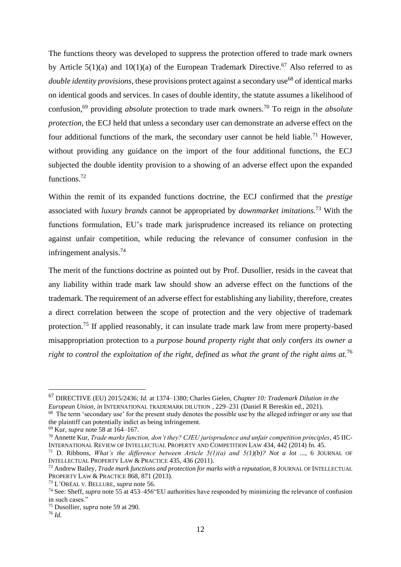The functions theory was developed to suppress the protection offered to trade mark owners by Article  $5(1)(a)$  and  $10(1)(a)$  of the European Trademark Directive.<sup>67</sup> Also referred to as *double identity provisions*, these provisions protect against a secondary use<sup>68</sup> of identical marks on identical goods and services. In cases of double identity, the statute assumes a likelihood of confusion,<sup>69</sup> providing *absolute* protection to trade mark owners.<sup>70</sup> To reign in the *absolute protection*, the ECJ held that unless a secondary user can demonstrate an adverse effect on the four additional functions of the mark, the secondary user cannot be held liable.<sup>71</sup> However, without providing any guidance on the import of the four additional functions, the ECJ subjected the double identity provision to a showing of an adverse effect upon the expanded functions.<sup>72</sup>

Within the remit of its expanded functions doctrine, the ECJ confirmed that the *prestige* associated with *luxury brands* cannot be appropriated by *downmarket imitations.*<sup>73</sup> With the functions formulation, EU's trade mark jurisprudence increased its reliance on protecting against unfair competition, while reducing the relevance of consumer confusion in the infringement analysis.<sup>74</sup>

The merit of the functions doctrine as pointed out by Prof. Dusollier, resids in the caveat that any liability within trade mark law should show an adverse effect on the functions of the trademark. The requirement of an adverse effect for establishing any liability, therefore, creates a direct correlation between the scope of protection and the very objective of trademark protection.<sup>75</sup> If applied reasonably, it can insulate trade mark law from mere property-based misappropriation protection to a *purpose bound property right that only confers its owner a right to control the exploitation of the right, defined as what the grant of the right aims at.*<sup>76</sup>

<sup>67</sup> DIRECTIVE (EU) 2015/2436; *Id.* at 1374–1380; Charles Gielen, *Chapter 10: Trademark Dilution in the European Union*, *in* INTERNATIONAL TRADEMARK DILUTION , 229–231 (Daniel R Bereskin ed., 2021).

<sup>&</sup>lt;sup>68</sup> The term 'secondary use' for the present study denotes the possible use by the alleged infringer or any use that the plaintiff can potentially indict as being infringement.

<sup>69</sup> Kur, *supra* note 58 at 164–167.

<sup>70</sup> Annette Kur, *Trade marks function, don't they? CJEU jurisprudence and unfair competition principles*, 45 IIC-INTERNATIONAL REVIEW OF INTELLECTUAL PROPERTY AND COMPETITION LAW 434, 442 (2014) fn. 45.

<sup>&</sup>lt;sup>71</sup> D. Ribbons, *What's the difference between Article 5(1)(a) and 5(1)(b)? Not a lot ..., 6 JOURNAL OF* INTELLECTUAL PROPERTY LAW & PRACTICE 435, 436 (2011).

<sup>72</sup> Andrew Bailey, *Trade mark functions and protection for marks with a reputation*, 8 JOURNAL OF INTELLECTUAL PROPERTY LAW & PRACTICE 868, 871 (2013).

<sup>73</sup> L'ORÉAL V. BELLURE, *supra* note 56.

<sup>74</sup> See: Sheff, *supra* note 55 at 453–456"EU authorities have responded by minimizing the relevance of confusion in such cases."

<sup>75</sup> Dusollier, *supra* note 59 at 290.

<sup>76</sup> *Id.*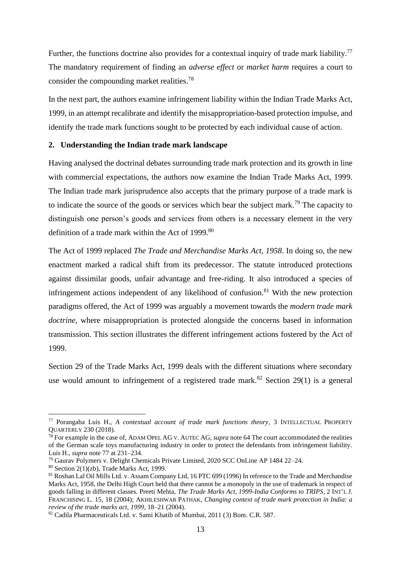Further, the functions doctrine also provides for a contextual inquiry of trade mark liability.<sup>77</sup> The mandatory requirement of finding an *adverse effect* or *market harm* requires a court to consider the compounding market realities.<sup>78</sup>

In the next part, the authors examine infringement liability within the Indian Trade Marks Act, 1999, in an attempt recalibrate and identify the misappropriation-based protection impulse, and identify the trade mark functions sought to be protected by each individual cause of action.

#### <span id="page-14-0"></span>**2. Understanding the Indian trade mark landscape**

Having analysed the doctrinal debates surrounding trade mark protection and its growth in line with commercial expectations, the authors now examine the Indian Trade Marks Act, 1999. The Indian trade mark jurisprudence also accepts that the primary purpose of a trade mark is to indicate the source of the goods or services which bear the subject mark.<sup>79</sup> The capacity to distinguish one person's goods and services from others is a necessary element in the very definition of a trade mark within the Act of 1999.<sup>80</sup>

The Act of 1999 replaced *The Trade and Merchandise Marks Act, 1958*. In doing so, the new enactment marked a radical shift from its predecessor. The statute introduced protections against dissimilar goods, unfair advantage and free-riding. It also introduced a species of infringement actions independent of any likelihood of confusion.<sup>81</sup> With the new protection paradigms offered, the Act of 1999 was arguably a movement towards the *modern trade mark doctrine,* where misappropriation is protected alongside the concerns based in information transmission. This section illustrates the different infringement actions fostered by the Act of 1999.

Section 29 of the Trade Marks Act, 1999 deals with the different situations where secondary use would amount to infringement of a registered trade mark.<sup>82</sup> Section 29(1) is a general

<sup>77</sup> Porangaba Luis H., *A contextual account of trade mark functions theory*, 3 INTELLECTUAL PROPERTY QUARTERLY 230 (2018).

<sup>78</sup> For example in the case of, ADAM OPEL AG V. AUTEC AG, *supra* note 64 The court accommodated the realities of the German scale toys manufacturing industry in order to protect the defendants from infringement liability. Luis H., *supra* note 77 at 231–234.

<sup>79</sup> Gaurav Polymers v. Delight Chemicals Private Limited, 2020 SCC OnLine AP 1484 22–24.

 $80$  Section 2(1)(zb), Trade Marks Act, 1999.

<sup>81</sup> Roshan Lal Oil Mills Ltd. v. Assam Company Ltd, 16 PTC 699 (1996) In refrence to the Trade and Merchandise Marks Act, 1958, the Delhi High Court held that there cannot be a monopoly in the use of trademark in respect of goods falling in different classes. Preeti Mehta, *The Trade Marks Act, 1999-India Conforms to TRIPS*, 2 INT'L J. FRANCHISING L. 15, 18 (2004); AKHILESHWAR PATHAK, *Changing context of trade mark protection in India: a review of the trade marks act, 1999*, 18–21 (2004).

<sup>82</sup> Cadila Pharmaceuticals Ltd. v. Sami Khatib of Mumbai, 2011 (3) Bom. C.R. 587.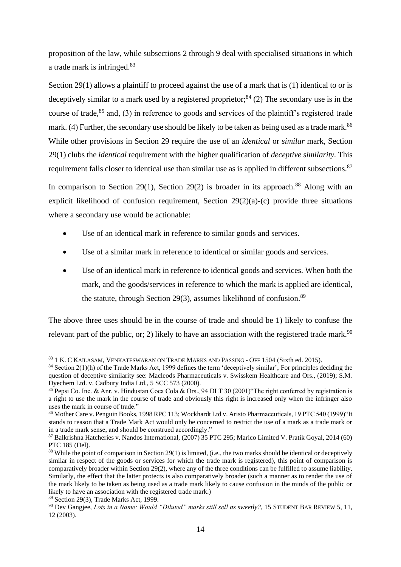proposition of the law, while subsections 2 through 9 deal with specialised situations in which a trade mark is infringed.<sup>83</sup>

Section 29(1) allows a plaintiff to proceed against the use of a mark that is (1) identical to or is deceptively similar to a mark used by a registered proprietor;<sup>84</sup> (2) The secondary use is in the course of trade, $85$  and, (3) in reference to goods and services of the plaintiff's registered trade mark. (4) Further, the secondary use should be likely to be taken as being used as a trade mark.<sup>86</sup> While other provisions in Section 29 require the use of an *identical* or *similar* mark, Section 29(1) clubs the *identical* requirement with the higher qualification of *deceptive similarity.* This requirement falls closer to identical use than similar use as is applied in different subsections.<sup>87</sup>

In comparison to Section 29(1), Section 29(2) is broader in its approach.<sup>88</sup> Along with an explicit likelihood of confusion requirement, Section 29(2)(a)-(c) provide three situations where a secondary use would be actionable:

- Use of an identical mark in reference to similar goods and services.
- Use of a similar mark in reference to identical or similar goods and services.
- Use of an identical mark in reference to identical goods and services. When both the mark, and the goods/services in reference to which the mark is applied are identical, the statute, through Section 29(3), assumes likelihood of confusion.<sup>89</sup>

The above three uses should be in the course of trade and should be 1) likely to confuse the relevant part of the public, or; 2) likely to have an association with the registered trade mark.<sup>90</sup>

<sup>83</sup> 1 K. C KAILASAM, VENKATESWARAN ON TRADE MARKS AND PASSING - OFF 1504 (Sixth ed. 2015).

 $84$  Section 2(1)(h) of the Trade Marks Act, 1999 defines the term 'deceptively similar'; For principles deciding the question of deceptive similarity see: Macleods Pharmaceuticals v. Swisskem Healthcare and Ors., (2019); S.M. Dyechem Ltd. v. Cadbury India Ltd., 5 SCC 573 (2000).

<sup>&</sup>lt;sup>85</sup> Pepsi Co. Inc. & Anr. v. Hindustan Coca Cola & Ors., 94 DLT 30 (2001) The right conferred by registration is a right to use the mark in the course of trade and obviously this right is increased only when the infringer also uses the mark in course of trade."

<sup>86</sup> Mother Care v. Penguin Books, 1998 RPC 113; Wockhardt Ltd v. Aristo Pharmaceuticals, 19 PTC 540 (1999) "It stands to reason that a Trade Mark Act would only be concerned to restrict the use of a mark as a trade mark or in a trade mark sense, and should be construed accordingly."

<sup>87</sup> Balkrishna Hatcheries v. Nandos International, (2007) 35 PTC 295; Marico Limited V. Pratik Goyal, 2014 (60) PTC 185 (Del).

<sup>&</sup>lt;sup>88</sup> While the point of comparison in Section 29(1) is limited, (i.e., the two marks should be identical or deceptively similar in respect of the goods or services for which the trade mark is registered), this point of comparison is comparatively broader within Section 29(2), where any of the three conditions can be fulfilled to assume liability. Similarly, the effect that the latter protects is also comparatively broader (such a manner as to render the use of the mark likely to be taken as being used as a trade mark likely to cause confusion in the minds of the public or likely to have an association with the registered trade mark.)

<sup>89</sup> Section 29(3), Trade Marks Act, 1999.

<sup>90</sup> Dev Gangjee, *Lots in a Name: Would "Diluted" marks still sell as sweetly?*, 15 STUDENT BAR REVIEW 5, 11, 12 (2003).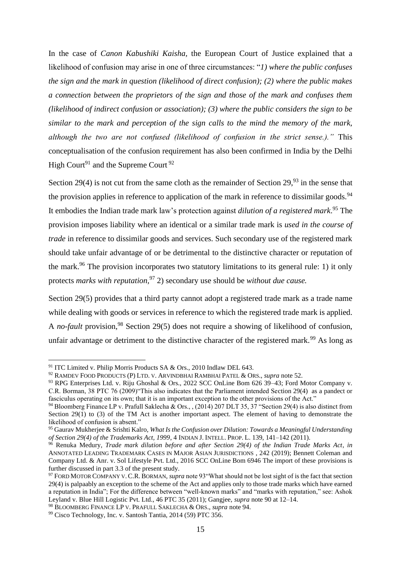In the case of *Canon Kabushiki Kaisha,* the European Court of Justice explained that a likelihood of confusion may arise in one of three circumstances: "*1) where the public confuses the sign and the mark in question (likelihood of direct confusion); (2) where the public makes a connection between the proprietors of the sign and those of the mark and confuses them (likelihood of indirect confusion or association); (3) where the public considers the sign to be similar to the mark and perception of the sign calls to the mind the memory of the mark, although the two are not confused (likelihood of confusion in the strict sense.)."* This conceptualisation of the confusion requirement has also been confirmed in India by the Delhi High Court<sup>91</sup> and the Supreme Court<sup>92</sup>

Section 29(4) is not cut from the same cloth as the remainder of Section  $29.93$  in the sense that the provision applies in reference to application of the mark in reference to dissimilar goods.<sup>94</sup> It embodies the Indian trade mark law's protection against *dilution of a registered mark*. <sup>95</sup> The provision imposes liability where an identical or a similar trade mark is *used in the course of trade* in reference to dissimilar goods and services. Such secondary use of the registered mark should take unfair advantage of or be detrimental to the distinctive character or reputation of the mark.<sup>96</sup> The provision incorporates two statutory limitations to its general rule: 1) it only protects *marks with reputation,*<sup>97</sup> 2) secondary use should be *without due cause.*

Section 29(5) provides that a third party cannot adopt a registered trade mark as a trade name while dealing with goods or services in reference to which the registered trade mark is applied. A *no-fault* provision,<sup>98</sup> Section 29(5) does not require a showing of likelihood of confusion, unfair advantage or detriment to the distinctive character of the registered mark.<sup>99</sup> As long as

<sup>&</sup>lt;sup>91</sup> ITC Limited v. Philip Morris Products SA & Ors., 2010 Indlaw DEL 643.

<sup>92</sup> RAMDEV FOOD PRODUCTS (P) LTD. V. ARVINDBHAI RAMBHAI PATEL & ORS., *supra* note 52.

<sup>93</sup> RPG Enterprises Ltd. v. Riju Ghoshal & Ors., 2022 SCC OnLine Bom 626 39–43; Ford Motor Company v. C.R. Borman, 38 PTC 76 (2009)"This also indicates that the Parliament intended Section 29(4) as a pandect or fasciculus operating on its own; that it is an important exception to the other provisions of the Act."

<sup>&</sup>lt;sup>94</sup> Bloomberg Finance LP v. Prafull Saklecha & Ors., , (2014) 207 DLT 35, 37 "Section 29(4) is also distinct from Section 29(1) to (3) of the TM Act is another important aspect. The element of having to demonstrate the likelihood of confusion is absent."

<sup>95</sup> Gaurav Mukherjee & Srishti Kalro, *What Is the Confusion over Dilution: Towards a Meaningful Understanding of Section 29(4) of the Trademarks Act, 1999*, 4 INDIAN J. INTELL. PROP. L. 139, 141–142 (2011).

<sup>96</sup> Renuka Medury, *Trade mark dilution before and after Section 29(4) of the Indian Trade Marks Act*, *in* ANNOTATED LEADING TRADEMARK CASES IN MAJOR ASIAN JURISDICTIONS , 242 (2019); Bennett Coleman and Company Ltd. & Anr. v. Sol Lifestyle Pvt. Ltd., 2016 SCC OnLine Bom 6946 The import of these provisions is further discussed in part 3.3 of the present study.

<sup>97</sup> FORD MOTOR COMPANY V. C.R. BORMAN, *supra* note 93"What should not be lost sight of is the fact that section 29(4) is palpaably an exception to the scheme of the Act and applies only to those trade marks which have earned a reputation in India"; For the difference between "well-known marks" and "marks with reputation," see: Ashok Leyland v. Blue Hill Logistic Pvt. Ltd., 46 PTC 35 (2011); Gangjee, *supra* note 90 at 12–14.

<sup>98</sup> BLOOMBERG FINANCE LP V. PRAFULL SAKLECHA & ORS., *supra* note 94.

<sup>99</sup> Cisco Technology, Inc. v. Santosh Tantia, 2014 (59) PTC 356.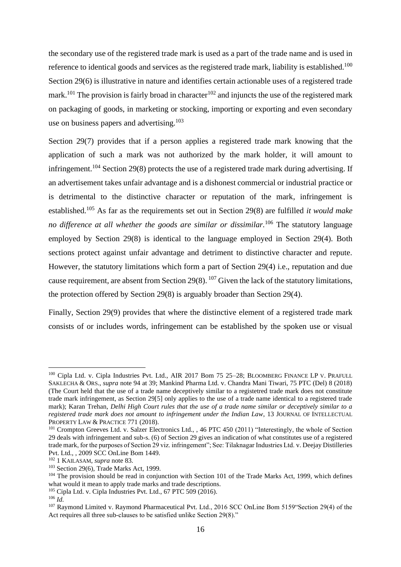the secondary use of the registered trade mark is used as a part of the trade name and is used in reference to identical goods and services as the registered trade mark, liability is established.<sup>100</sup> Section 29(6) is illustrative in nature and identifies certain actionable uses of a registered trade mark.<sup>101</sup> The provision is fairly broad in character<sup>102</sup> and injuncts the use of the registered mark on packaging of goods, in marketing or stocking, importing or exporting and even secondary use on business papers and advertising.<sup>103</sup>

Section 29(7) provides that if a person applies a registered trade mark knowing that the application of such a mark was not authorized by the mark holder, it will amount to infringement.<sup>104</sup> Section 29(8) protects the use of a registered trade mark during advertising. If an advertisement takes unfair advantage and is a dishonest commercial or industrial practice or is detrimental to the distinctive character or reputation of the mark, infringement is established.<sup>105</sup> As far as the requirements set out in Section 29(8) are fulfilled *it would make no difference at all whether the goods are similar or dissimilar.*<sup>106</sup> The statutory language employed by Section 29(8) is identical to the language employed in Section 29(4). Both sections protect against unfair advantage and detriment to distinctive character and repute. However, the statutory limitations which form a part of Section 29(4) i.e., reputation and due cause requirement, are absent from Section 29(8).  $^{107}$  Given the lack of the statutory limitations, the protection offered by Section 29(8) is arguably broader than Section 29(4).

Finally, Section 29(9) provides that where the distinctive element of a registered trade mark consists of or includes words, infringement can be established by the spoken use or visual

<sup>&</sup>lt;sup>100</sup> Cipla Ltd. v. Cipla Industries Pvt. Ltd., AIR 2017 Bom 75 25–28; BLOOMBERG FINANCE LP V. PRAFULL SAKLECHA & ORS., *supra* note 94 at 39; Mankind Pharma Ltd. v. Chandra Mani Tiwari, 75 PTC (Del) 8 (2018) (The Court held that the use of a trade name deceptively similar to a registetred trade mark does not constitute trade mark infringement, as Section 29[5] only applies to the use of a trade name identical to a registered trade mark); Karan Trehan, *Delhi High Court rules that the use of a trade name similar or deceptively similar to a registered trade mark does not amount to infringement under the Indian Law*, 13 JOURNAL OF INTELLECTUAL PROPERTY LAW & PRACTICE 771 (2018).

<sup>&</sup>lt;sup>101</sup> Crompton Greeves Ltd. v. Salzer Electronics Ltd., , 46 PTC 450 (2011) "Interestingly, the whole of Section 29 deals with infringement and sub-s. (6) of Section 29 gives an indication of what constitutes use of a registered trade mark, for the purposes of Section 29 viz. infringement"; See: Tilaknagar Industries Ltd. v. Deejay Distilleries Pvt. Ltd., , 2009 SCC OnLine Bom 1449.

<sup>102</sup> 1 KAILASAM, *supra* note 83.

<sup>103</sup> Section 29(6), Trade Marks Act, 1999.

<sup>&</sup>lt;sup>104</sup> The provision should be read in conjunction with Section 101 of the Trade Marks Act, 1999, which defines what would it mean to apply trade marks and trade descriptions.

<sup>105</sup> Cipla Ltd. v. Cipla Industries Pvt. Ltd., 67 PTC 509 (2016).

<sup>106</sup> *Id.*

<sup>&</sup>lt;sup>107</sup> Raymond Limited v. Raymond Pharmaceutical Pvt. Ltd., 2016 SCC OnLine Bom 5159 Section 29(4) of the Act requires all three sub-clauses to be satisfied unlike Section 29(8)."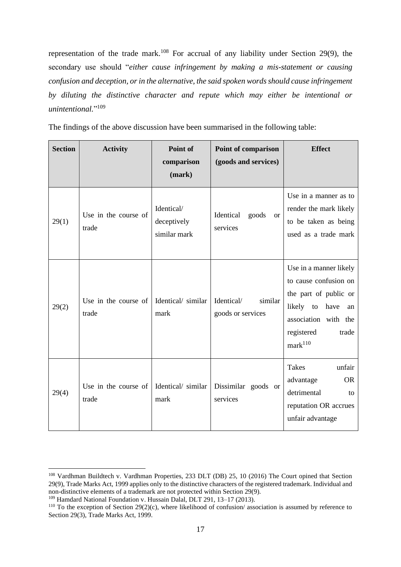representation of the trade mark.<sup>108</sup> For accrual of any liability under Section 29(9), the secondary use should "*either cause infringement by making a mis-statement or causing confusion and deception, or in the alternative, the said spoken words should cause infringement by diluting the distinctive character and repute which may either be intentional or unintentional.*" 109

The findings of the above discussion have been summarised in the following table:

| <b>Section</b> | <b>Activity</b>               | Point of<br>comparison<br>(mark)          | <b>Point of comparison</b><br>(goods and services) | <b>Effect</b>                                                                                                                                                             |
|----------------|-------------------------------|-------------------------------------------|----------------------------------------------------|---------------------------------------------------------------------------------------------------------------------------------------------------------------------------|
| 29(1)          | Use in the course of<br>trade | Identical/<br>deceptively<br>similar mark | Identical<br>goods<br><b>or</b><br>services        | Use in a manner as to<br>render the mark likely<br>to be taken as being<br>used as a trade mark                                                                           |
| 29(2)          | Use in the course of<br>trade | Identical/similar<br>mark                 | Identical/<br>similar<br>goods or services         | Use in a manner likely<br>to cause confusion on<br>the part of public or<br>likely to<br>have<br>an<br>association with the<br>registered<br>trade<br>mark <sup>110</sup> |
| 29(4)          | Use in the course of<br>trade | Identical/ similar<br>mark                | Dissimilar goods or<br>services                    | Takes<br>unfair<br>advantage<br><b>OR</b><br>detrimental<br>to<br>reputation OR accrues<br>unfair advantage                                                               |

<sup>108</sup> Vardhman Buildtech v. Vardhman Properties, 233 DLT (DB) 25, 10 (2016) The Court opined that Section 29(9), Trade Marks Act, 1999 applies only to the distinctive characters of the registered trademark. Individual and non-distinctive elements of a trademark are not protected within Section 29(9).

<sup>109</sup> Hamdard National Foundation v. Hussain Dalal, DLT 291, 13–17 (2013).

<sup>&</sup>lt;sup>110</sup> To the exception of Section 29(2)(c), where likelihood of confusion/ association is assumed by reference to Section 29(3), Trade Marks Act, 1999.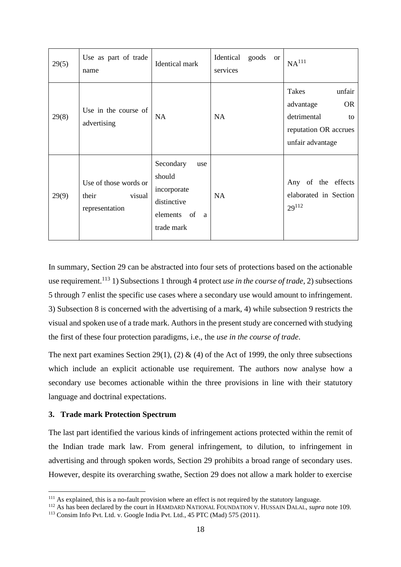| 29(5) | Use as part of trade<br>name                               | Identical mark                                                                             | Identical<br>goods<br><sub>or</sub><br>services | $\mathrm{NA}^{111}$                                                                                         |
|-------|------------------------------------------------------------|--------------------------------------------------------------------------------------------|-------------------------------------------------|-------------------------------------------------------------------------------------------------------------|
| 29(8) | Use in the course of<br>advertising                        | <b>NA</b>                                                                                  | NA                                              | Takes<br>unfair<br><b>OR</b><br>advantage<br>detrimental<br>to<br>reputation OR accrues<br>unfair advantage |
| 29(9) | Use of those words or<br>visual<br>their<br>representation | Secondary<br>use<br>should<br>incorporate<br>distinctive<br>elements of<br>a<br>trade mark | <b>NA</b>                                       | Any of the effects<br>elaborated in Section<br>$29^{112}$                                                   |

In summary, Section 29 can be abstracted into four sets of protections based on the actionable use requirement.<sup>113</sup> 1) Subsections 1 through 4 protect *use in the course of trade*, 2) subsections 5 through 7 enlist the specific use cases where a secondary use would amount to infringement. 3) Subsection 8 is concerned with the advertising of a mark, 4) while subsection 9 restricts the visual and spoken use of a trade mark. Authors in the present study are concerned with studying the first of these four protection paradigms, i.e., the *use in the course of trade*.

The next part examines Section 29(1), (2)  $\&$  (4) of the Act of 1999, the only three subsections which include an explicit actionable use requirement. The authors now analyse how a secondary use becomes actionable within the three provisions in line with their statutory language and doctrinal expectations.

# <span id="page-19-0"></span>**3. Trade mark Protection Spectrum**

The last part identified the various kinds of infringement actions protected within the remit of the Indian trade mark law. From general infringement, to dilution, to infringement in advertising and through spoken words, Section 29 prohibits a broad range of secondary uses. However, despite its overarching swathe, Section 29 does not allow a mark holder to exercise

<sup>&</sup>lt;sup>111</sup> As explained, this is a no-fault provision where an effect is not required by the statutory language.

<sup>&</sup>lt;sup>112</sup> As has been declared by the court in HAMDARD NATIONAL FOUNDATION V. HUSSAIN DALAL, *supra* note 109.

<sup>113</sup> Consim Info Pvt. Ltd. v. Google India Pvt. Ltd., 45 PTC (Mad) 575 (2011).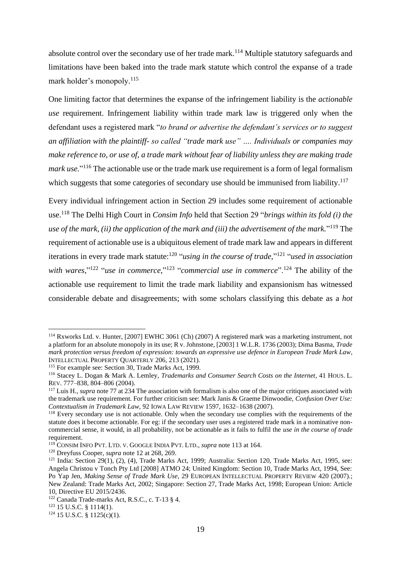absolute control over the secondary use of her trade mark.<sup>114</sup> Multiple statutory safeguards and limitations have been baked into the trade mark statute which control the expanse of a trade mark holder's monopoly. 115

One limiting factor that determines the expanse of the infringement liability is the *actionable use* requirement. Infringement liability within trade mark law is triggered only when the defendant uses a registered mark "*to brand or advertise the defendant's services or to suggest an affiliation with the plaintiff- so called "trade mark use" …. Individuals or companies may make reference to, or use of, a trade mark without fear of liability unless they are making trade mark use.*" <sup>116</sup> The actionable use or the trade mark use requirement is a form of legal formalism which suggests that some categories of secondary use should be immunised from liability.<sup>117</sup>

Every individual infringement action in Section 29 includes some requirement of actionable use.<sup>118</sup> The Delhi High Court in *Consim Info* held that Section 29 "*brings within its fold (i) the use of the mark, (ii) the application of the mark and (iii) the advertisement of the mark.*" <sup>119</sup> The requirement of actionable use is a ubiquitous element of trade mark law and appears in different iterations in every trade mark statute:<sup>120</sup> "using in the course of trade,"<sup>121</sup> "used in association with wares,"<sup>122</sup> "use in commerce,"<sup>123</sup> "commercial use in commerce".<sup>124</sup> The ability of the actionable use requirement to limit the trade mark liability and expansionism has witnessed considerable debate and disagreements; with some scholars classifying this debate as a *hot* 

<sup>114</sup> Rxworks Ltd. v. Hunter, [2007] EWHC 3061 (Ch) (2007) A registered mark was a marketing instrument, not a platform for an absolute monopoly in its use; R v. Johnstone, [2003] 1 W.L.R. 1736 (2003); Dima Basma, *Trade mark protection versus freedom of expression: towards an expressive use defence in European Trade Mark Law*, INTELLECTUAL PROPERTY QUARTERLY 206, 213 (2021).

<sup>&</sup>lt;sup>115</sup> For example see: Section 30, Trade Marks Act, 1999.

<sup>116</sup> Stacey L. Dogan & Mark A. Lemley, *Trademarks and Consumer Search Costs on the Internet*, 41 HOUS. L. REV. 777–838, 804–806 (2004).

<sup>&</sup>lt;sup>117</sup> Luis H., *supra* note 77 at 234 The association with formalism is also one of the major critiques associated with the trademark use requirement. For further criticism see: Mark Janis & Graeme Dinwoodie, *Confusion Over Use: Contextualism in Trademark Law*, 92 IOWA LAW REVIEW 1597, 1632–1638 (2007).

<sup>118</sup> Every secondary use is not actionable. Only when the secondary use complies with the requirements of the statute does it become actionable. For eg: if the secondary user uses a registered trade mark in a nominative noncommercial sense, it would, in all probability, not be actionable as it fails to fulfil the *use in the course of trade* requirement.

<sup>119</sup> CONSIM INFO PVT. LTD. V. GOOGLE INDIA PVT. LTD., *supra* note 113 at 164.

<sup>120</sup> Dreyfuss Cooper, *supra* note 12 at 268, 269.

<sup>&</sup>lt;sup>121</sup> India: Section 29(1), (2), (4), Trade Marks Act, 1999; Australia: Section 120, Trade Marks Act, 1995, see: Angela Christou v Tonch Pty Ltd [2008] ATMO 24; United Kingdom: Section 10, Trade Marks Act, 1994, See: Po Yap Jen, *Making Sense of Trade Mark Use*, 29 EUROPEAN INTELLECTUAL PROPERTY REVIEW 420 (2007).; New Zealand: Trade Marks Act, 2002; Singapore: Section 27, Trade Marks Act, 1998; European Union: Article 10, Directive EU 2015/2436.

<sup>122</sup> Canada Trade-marks Act, R.S.C., c. T-13 § 4.

<sup>123</sup> 15 U.S.C. § 1114(1).

 $124$  15 U.S.C. § 1125(c)(1).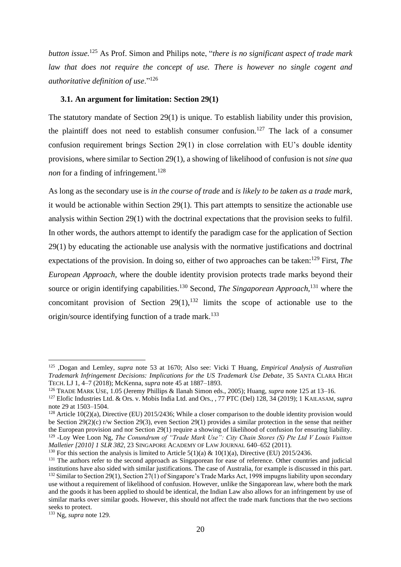*button issue.*<sup>125</sup> As Prof. Simon and Philips note, "*there is no significant aspect of trade mark law that does not require the concept of use. There is however no single cogent and authoritative definition of use*."<sup>126</sup>

#### <span id="page-21-0"></span>**3.1. An argument for limitation: Section 29(1)**

The statutory mandate of Section 29(1) is unique. To establish liability under this provision, the plaintiff does not need to establish consumer confusion.<sup>127</sup> The lack of a consumer confusion requirement brings Section 29(1) in close correlation with EU's double identity provisions, where similar to Section 29(1), a showing of likelihood of confusion is not *sine qua non* for a finding of infringement.<sup>128</sup>

As long as the secondary use is *in the course of trade* and *is likely to be taken as a trade mark,*  it would be actionable within Section 29(1). This part attempts to sensitize the actionable use analysis within Section 29(1) with the doctrinal expectations that the provision seeks to fulfil. In other words, the authors attempt to identify the paradigm case for the application of Section 29(1) by educating the actionable use analysis with the normative justifications and doctrinal expectations of the provision. In doing so, either of two approaches can be taken:<sup>129</sup> First, *The European Approach,* where the double identity provision protects trade marks beyond their source or origin identifying capabilities.<sup>130</sup> Second, *The Singaporean Approach,*<sup>131</sup> where the concomitant provision of Section  $29(1)$ ,  $132$  limits the scope of actionable use to the origin/source identifying function of a trade mark.<sup>133</sup>

<sup>125</sup> ,Dogan and Lemley, *supra* note 53 at 1670; Also see: Vicki T Huang, *Empirical Analysis of Australian Trademark Infringement Decisions: Implications for the US Trademark Use Debate*, 35 SANTA CLARA HIGH TECH. LJ 1, 4–7 (2018); McKenna, *supra* note 45 at 1887–1893.

<sup>126</sup> TRADE MARK USE, 1.05 (Jeremy Phillips & Ilanah Simon eds., 2005); Huang, *supra* note 125 at 13–16.

<sup>127</sup> Elofic Industries Ltd. & Ors. v. Mobis India Ltd. and Ors., , 77 PTC (Del) 128, 34 (2019); 1 KAILASAM, *supra* note 29 at 1503–1504.

<sup>&</sup>lt;sup>128</sup> Article 10(2)(a), Directive (EU) 2015/2436; While a closer comparison to the double identity provision would be Section 29(2)(c) r/w Section 29(3), even Section 29(1) provides a similar protection in the sense that neither the European provision and nor Section 29(1) require a showing of likelihood of confusion for ensuring liability. <sup>129</sup> -Loy Wee Loon Ng, *The Conundrum of "Trade Mark Use": City Chain Stores (S) Pte Ltd V Louis Vuitton Malletier [2010] 1 SLR 382*, 23 SINGAPORE ACADEMY OF LAW JOURNAL 640–652 (2011).

<sup>&</sup>lt;sup>130</sup> For this section the analysis is limited to Article 5(1)(a) & 10(1)(a), Directive (EU) 2015/2436.

<sup>&</sup>lt;sup>131</sup> The authors refer to the second approach as Singaporean for ease of reference. Other countries and judicial institutions have also sided with similar justifications. The case of Australia, for example is discussed in this part. <sup>132</sup> Similar to Section 29(1), Section 27(1) of Singapore's Trade Marks Act, 1998 impugns liability upon secondary use without a requirement of likelihood of confusion. However, unlike the Singaporean law, where both the mark and the goods it has been applied to should be identical, the Indian Law also allows for an infringement by use of similar marks over similar goods. However, this should not affect the trade mark functions that the two sections seeks to protect.

<sup>133</sup> Ng, *supra* note 129.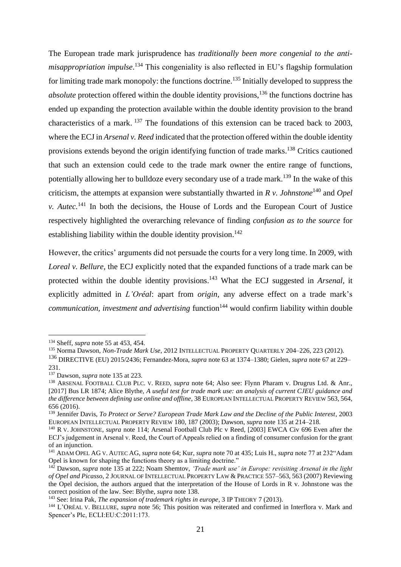The European trade mark jurisprudence has *traditionally been more congenial to the antimisappropriation impulse*. <sup>134</sup> This congeniality is also reflected in EU's flagship formulation for limiting trade mark monopoly: the functions doctrine.<sup>135</sup> Initially developed to suppress the *absolute* protection offered within the double identity provisions,<sup>136</sup> the functions doctrine has ended up expanding the protection available within the double identity provision to the brand characteristics of a mark. <sup>137</sup> The foundations of this extension can be traced back to 2003, where the ECJ in *Arsenal v. Reed* indicated that the protection offered within the double identity provisions extends beyond the origin identifying function of trade marks.<sup>138</sup> Critics cautioned that such an extension could cede to the trade mark owner the entire range of functions, potentially allowing her to bulldoze every secondary use of a trade mark.<sup>139</sup> In the wake of this criticism, the attempts at expansion were substantially thwarted in *R v. Johnstone*<sup>140</sup> and *Opel v. Autec.*<sup>141</sup> In both the decisions, the House of Lords and the European Court of Justice respectively highlighted the overarching relevance of finding *confusion as to the source* for establishing liability within the double identity provision.<sup>142</sup>

However, the critics' arguments did not persuade the courts for a very long time. In 2009, with *Loreal v. Bellure,* the ECJ explicitly noted that the expanded functions of a trade mark can be protected within the double identity provisions. <sup>143</sup> What the ECJ suggested in *Arsenal,* it explicitly admitted in *L'Oréal*: apart from *origin,* any adverse effect on a trade mark's *communication, investment and advertising* function<sup>144</sup> would confirm liability within double

<sup>134</sup> Sheff, *supra* note 55 at 453, 454.

<sup>135</sup> Norma Dawson, *Non-Trade Mark Use*, 2012 INTELLECTUAL PROPERTY QUARTERLY 204–226, 223 (2012).

<sup>136</sup> DIRECTIVE (EU) 2015/2436; Fernandez-Mora, *supra* note 63 at 1374–1380; Gielen, *supra* note 67 at 229– 231.

<sup>137</sup> Dawson, *supra* note 135 at 223.

<sup>138</sup> ARSENAL FOOTBALL CLUB PLC. V. REED, *supra* note 64; Also see: Flynn Pharam v. Drugrus Ltd. & Anr., [2017] Bus LR 1874; Alice Blythe, *A useful test for trade mark use: an analysis of current CJEU guidance and the difference between defining use online and offline*, 38 EUROPEAN INTELLECTUAL PROPERTY REVIEW 563, 564, 656 (2016).

<sup>139</sup> Jennifer Davis, *To Protect or Serve? European Trade Mark Law and the Decline of the Public Interest*, 2003 EUROPEAN INTELLECTUAL PROPERTY REVIEW 180, 187 (2003); Dawson, *supra* note 135 at 214–218.

<sup>140</sup> R V. JOHNSTONE, *supra* note 114; Arsenal Football Club Plc v Reed, [2003] EWCA Civ 696 Even after the ECJ's judgement in Arsenal v. Reed, the Court of Appeals relied on a finding of consumer confusion for the grant of an injunction.

<sup>141</sup> ADAM OPEL AG V. AUTEC AG, *supra* note 64; Kur, *supra* note 70 at 435; Luis H., *supra* note 77 at 232"Adam Opel is known for shaping the functions theory as a limiting doctrine."

<sup>142</sup> Dawson, *supra* note 135 at 222; Noam Shemtov, *'Trade mark use' in Europe: revisiting Arsenal in the light of Opel and Picasso*, 2 JOURNAL OF INTELLECTUAL PROPERTY LAW & PRACTICE 557–563, 563 (2007) Reviewing the Opel decision, the authors argued that the interpretation of the House of Lords in R v. Johnstone was the correct position of the law. See: Blythe, *supra* note 138.

<sup>143</sup> See: Irina Pak, *The expansion of trademark rights in europe*, 3 IP THEORY 7 (2013).

<sup>144</sup> L'ORÉAL V. BELLURE, *supra* note 56; This position was reiterated and confirmed in Interflora v. Mark and Spencer's Plc, ECLI:EU:C:2011:173.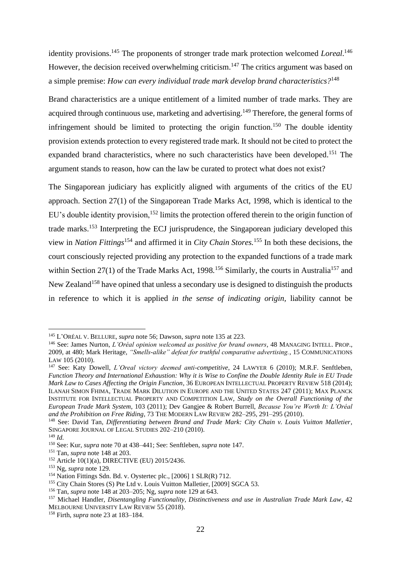identity provisions.<sup>145</sup> The proponents of stronger trade mark protection welcomed *Loreal*.<sup>146</sup> However, the decision received overwhelming criticism.<sup>147</sup> The critics argument was based on a simple premise: *How can every individual trade mark develop brand characteristics?*<sup>148</sup>

Brand characteristics are a unique entitlement of a limited number of trade marks. They are acquired through continuous use, marketing and advertising.<sup>149</sup> Therefore, the general forms of infringement should be limited to protecting the origin function.<sup>150</sup> The double identity provision extends protection to every registered trade mark. It should not be cited to protect the expanded brand characteristics, where no such characteristics have been developed.<sup>151</sup> The argument stands to reason, how can the law be curated to protect what does not exist?

The Singaporean judiciary has explicitly aligned with arguments of the critics of the EU approach. Section 27(1) of the Singaporean Trade Marks Act, 1998, which is identical to the EU's double identity provision,<sup>152</sup> limits the protection offered therein to the origin function of trade marks.<sup>153</sup> Interpreting the ECJ jurisprudence, the Singaporean judiciary developed this view in *Nation Fittings*<sup>154</sup> and affirmed it in *City Chain Stores.*<sup>155</sup> In both these decisions, the court consciously rejected providing any protection to the expanded functions of a trade mark within Section 27(1) of the Trade Marks Act, 1998.<sup>156</sup> Similarly, the courts in Australia<sup>157</sup> and New Zealand<sup>158</sup> have opined that unless a secondary use is designed to distinguish the products in reference to which it is applied *in the sense of indicating origin,* liability cannot be

<sup>145</sup> L'ORÉAL V. BELLURE, *supra* note 56; Dawson, *supra* note 135 at 223.

<sup>146</sup> See: James Nurton, *L'Oréal opinion welcomed as positive for brand owners*, 48 MANAGING INTELL. PROP., 2009, at 480; Mark Heritage, *"Smells-alike" defeat for truthful comparative advertising.*, 15 COMMUNICATIONS LAW 105 (2010).

<sup>147</sup> See: Katy Dowell, *L'Oreal victory deemed anti-competitive*, 24 LAWYER 6 (2010); M.R.F. Senftleben, *Function Theory and International Exhaustion: Why it is Wise to Confine the Double Identity Rule in EU Trade Mark Law to Cases Affecting the Origin Function*, 36 EUROPEAN INTELLECTUAL PROPERTY REVIEW 518 (2014); ILANAH SIMON FHIMA, TRADE MARK DILUTION IN EUROPE AND THE UNITED STATES 247 (2011); MAX PLANCK INSTITUTE FOR INTELLECTUAL PROPERTY AND COMPETITION LAW, *Study on the Overall Functioning of the European Trade Mark System*, 103 (2011); Dev Gangjee & Robert Burrell, *Because You're Worth It: L'Oréal and the Prohibition on Free Riding*, 73 THE MODERN LAW REVIEW 282–295, 291–295 (2010).

<sup>148</sup> See: David Tan, *Differentiating between Brand and Trade Mark: City Chain v. Louis Vuitton Malletier*, SINGAPORE JOURNAL OF LEGAL STUDIES 202–210 (2010).

<sup>149</sup> *Id.*

<sup>150</sup> See: Kur, *supra* note 70 at 438–441; See: Senftleben, *supra* note 147.

<sup>151</sup> Tan, *supra* note 148 at 203.

<sup>152</sup> Article 10(1)(a), DIRECTIVE (EU) 2015/2436.

<sup>153</sup> Ng, *supra* note 129.

<sup>154</sup> Nation Fittings Sdn. Bd. v. Oystertec plc., [2006] 1 SLR(R) 712.

<sup>&</sup>lt;sup>155</sup> City Chain Stores (S) Pte Ltd v. Louis Vuitton Malletier, [2009] SGCA 53.

<sup>156</sup> Tan, *supra* note 148 at 203–205; Ng, *supra* note 129 at 643.

<sup>157</sup> Michael Handler, *Disentangling Functionality, Distinctiveness and use in Australian Trade Mark Law*, 42 MELBOURNE UNIVERSITY LAW REVIEW 55 (2018).

<sup>158</sup> Firth, *supra* note 23 at 183–184.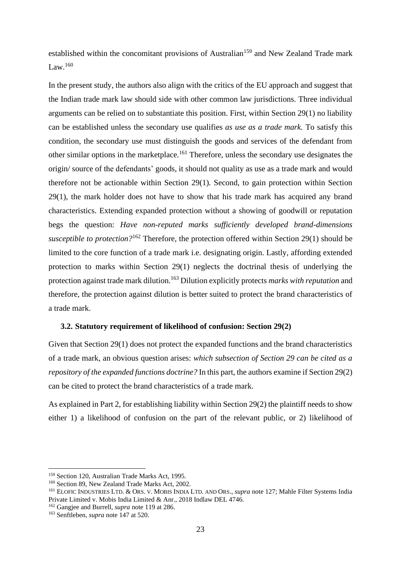established within the concomitant provisions of Australian<sup>159</sup> and New Zealand Trade mark Law  $160$ 

In the present study, the authors also align with the critics of the EU approach and suggest that the Indian trade mark law should side with other common law jurisdictions. Three individual arguments can be relied on to substantiate this position. First, within Section 29(1) no liability can be established unless the secondary use qualifies *as use as a trade mark.* To satisfy this condition, the secondary use must distinguish the goods and services of the defendant from other similar options in the marketplace.<sup>161</sup> Therefore, unless the secondary use designates the origin/ source of the defendants' goods, it should not quality as use as a trade mark and would therefore not be actionable within Section 29(1). Second, to gain protection within Section 29(1), the mark holder does not have to show that his trade mark has acquired any brand characteristics. Extending expanded protection without a showing of goodwill or reputation begs the question: *Have non-reputed marks sufficiently developed brand-dimensions susceptible to protection?*<sup>162</sup> Therefore, the protection offered within Section 29(1) should be limited to the core function of a trade mark i.e. designating origin. Lastly, affording extended protection to marks within Section 29(1) neglects the doctrinal thesis of underlying the protection against trade mark dilution.<sup>163</sup> Dilution explicitly protects *marks with reputation* and therefore, the protection against dilution is better suited to protect the brand characteristics of a trade mark.

#### <span id="page-24-0"></span>**3.2. Statutory requirement of likelihood of confusion: Section 29(2)**

Given that Section 29(1) does not protect the expanded functions and the brand characteristics of a trade mark, an obvious question arises: *which subsection of Section 29 can be cited as a repository of the expanded functions doctrine?* In this part, the authors examine if Section 29(2) can be cited to protect the brand characteristics of a trade mark.

As explained in Part 2, for establishing liability within Section 29(2) the plaintiff needs to show either 1) a likelihood of confusion on the part of the relevant public, or 2) likelihood of

<sup>159</sup> Section 120, Australian Trade Marks Act, 1995.

<sup>160</sup> Section 89, New Zealand Trade Marks Act, 2002.

<sup>161</sup> ELOFIC INDUSTRIES LTD. & ORS. V. MOBIS INDIA LTD. AND ORS., *supra* note 127; Mahle Filter Systems India Private Limited v. Mobis India Limited & Anr., 2018 Indlaw DEL 4746.

<sup>162</sup> Gangjee and Burrell, *supra* note 119 at 286.

<sup>163</sup> Senftleben, *supra* note 147 at 520.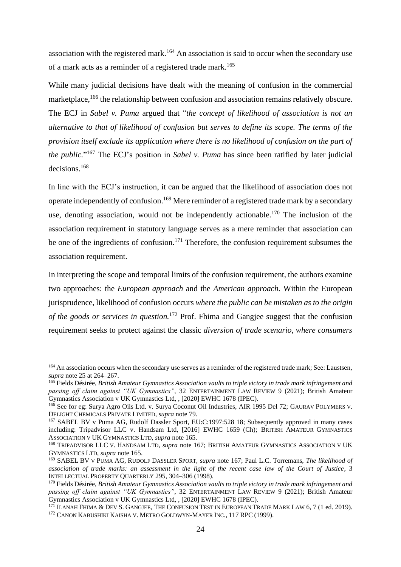association with the registered mark.<sup>164</sup> An association is said to occur when the secondary use of a mark acts as a reminder of a registered trade mark. 165

While many judicial decisions have dealt with the meaning of confusion in the commercial marketplace,<sup>166</sup> the relationship between confusion and association remains relatively obscure. The ECJ in *Sabel v. Puma* argued that "*the concept of likelihood of association is not an alternative to that of likelihood of confusion but serves to define its scope. The terms of the provision itself exclude its application where there is no likelihood of confusion on the part of the public.*" <sup>167</sup> The ECJ's position in *Sabel v. Puma* has since been ratified by later judicial decisions. 168

In line with the ECJ's instruction, it can be argued that the likelihood of association does not operate independently of confusion.<sup>169</sup> Mere reminder of a registered trade mark by a secondary use, denoting association, would not be independently actionable.<sup>170</sup> The inclusion of the association requirement in statutory language serves as a mere reminder that association can be one of the ingredients of confusion.<sup>171</sup> Therefore, the confusion requirement subsumes the association requirement.

In interpreting the scope and temporal limits of the confusion requirement, the authors examine two approaches: the *European approach* and the *American approach.* Within the European jurisprudence, likelihood of confusion occurs *where the public can be mistaken as to the origin of the goods or services in question.*<sup>172</sup> Prof. Fhima and Gangjee suggest that the confusion requirement seeks to protect against the classic *diversion of trade scenario, where consumers* 

<sup>&</sup>lt;sup>164</sup> An association occurs when the secondary use serves as a reminder of the registered trade mark; See: Laustsen, *supra* note 25 at 264–267.

<sup>165</sup> Fields Désirée, *British Amateur Gymnastics Association vaults to triple victory in trade mark infringement and passing off claim against "UK Gymnastics"*, 32 ENTERTAINMENT LAW REVIEW 9 (2021); British Amateur Gymnastics Association v UK Gymnastics Ltd, , [2020] EWHC 1678 (IPEC).

<sup>166</sup> See for eg: Surya Agro Oils Ltd. v. Surya Coconut Oil Industries, AIR 1995 Del 72; GAURAV POLYMERS V. DELIGHT CHEMICALS PRIVATE LIMITED, *supra* note 79.

<sup>&</sup>lt;sup>167</sup> SABEL BV v Puma AG, Rudolf Dassler Sport, EU:C:1997:528 18; Subsequently approved in many cases including: Tripadvisor LLC v. Handsam Ltd, [2016] EWHC 1659 (Ch); BRITISH AMATEUR GYMNASTICS ASSOCIATION V UK GYMNASTICS LTD, *supra* note 165.

<sup>168</sup> TRIPADVISOR LLC V. HANDSAM LTD, *supra* note 167; BRITISH AMATEUR GYMNASTICS ASSOCIATION V UK GYMNASTICS LTD, *supra* note 165.

<sup>169</sup> SABEL BV V PUMA AG, RUDOLF DASSLER SPORT, *supra* note 167; Paul L.C. Torremans, *The likelihood of association of trade marks: an assessment in the light of the recent case law of the Court of Justice*, 3 INTELLECTUAL PROPERTY QUARTERLY 295, 304–306 (1998).

<sup>170</sup> Fields Désirée, *British Amateur Gymnastics Association vaults to triple victory in trade mark infringement and passing off claim against "UK Gymnastics"*, 32 ENTERTAINMENT LAW REVIEW 9 (2021); British Amateur Gymnastics Association v UK Gymnastics Ltd, , [2020] EWHC 1678 (IPEC).

 $171$  ILANAH FHIMA & DEV S. GANGJEE, THE CONFUSION TEST IN EUROPEAN TRADE MARK LAW 6, 7 (1 ed. 2019). <sup>172</sup> CANON KABUSHIKI KAISHA V. METRO GOLDWYN-MAYER INC., 117 RPC (1999).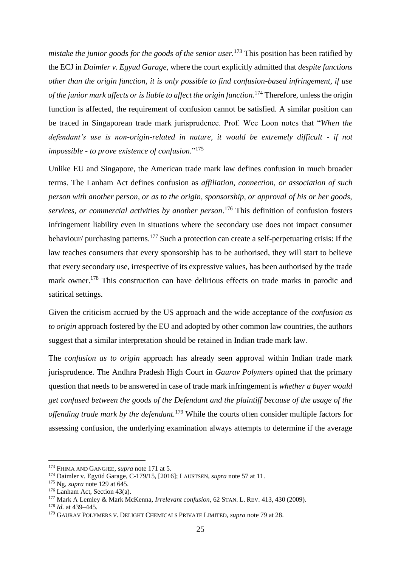*mistake the junior goods for the goods of the senior user.*<sup>173</sup> This position has been ratified by the ECJ in *Daimler v. Egyud Garage,* where the court explicitly admitted that *despite functions other than the origin function, it is only possible to find confusion-based infringement, if use of the junior mark affects or is liable to affect the origin function.*<sup>174</sup> Therefore, unless the origin function is affected, the requirement of confusion cannot be satisfied. A similar position can be traced in Singaporean trade mark jurisprudence. Prof. Wee Loon notes that "*When the defendant's use is non-origin-related in nature, it would be extremely difficult - if not impossible - to prove existence of confusion.*" 175

Unlike EU and Singapore, the American trade mark law defines confusion in much broader terms. The Lanham Act defines confusion as *affiliation, connection, or association of such person with another person, or as to the origin, sponsorship, or approval of his or her goods, services, or commercial activities by another person*. <sup>176</sup> This definition of confusion fosters infringement liability even in situations where the secondary use does not impact consumer behaviour/ purchasing patterns.<sup>177</sup> Such a protection can create a self-perpetuating crisis: If the law teaches consumers that every sponsorship has to be authorised, they will start to believe that every secondary use, irrespective of its expressive values, has been authorised by the trade mark owner.<sup>178</sup> This construction can have delirious effects on trade marks in parodic and satirical settings.

Given the criticism accrued by the US approach and the wide acceptance of the *confusion as to origin* approach fostered by the EU and adopted by other common law countries, the authors suggest that a similar interpretation should be retained in Indian trade mark law.

The *confusion as to origin* approach has already seen approval within Indian trade mark jurisprudence. The Andhra Pradesh High Court in *Gaurav Polymers* opined that the primary question that needs to be answered in case of trade mark infringement is *whether a buyer would get confused between the goods of the Defendant and the plaintiff because of the usage of the offending trade mark by the defendant.*<sup>179</sup> While the courts often consider multiple factors for assessing confusion, the underlying examination always attempts to determine if the average

<sup>173</sup> FHIMA AND GANGJEE, *supra* note 171 at 5.

<sup>174</sup> Daimler v. Együd Garage, C-179/15, [2016]; LAUSTSEN, *supra* note 57 at 11.

<sup>175</sup> Ng, *supra* note 129 at 645.

 $176$  Lanham Act, Section 43(a).

<sup>177</sup> Mark A Lemley & Mark McKenna, *Irrelevant confusion*, 62 STAN. L. REV. 413, 430 (2009).

<sup>178</sup> *Id.* at 439–445.

<sup>179</sup> GAURAV POLYMERS V. DELIGHT CHEMICALS PRIVATE LIMITED, *supra* note 79 at 28.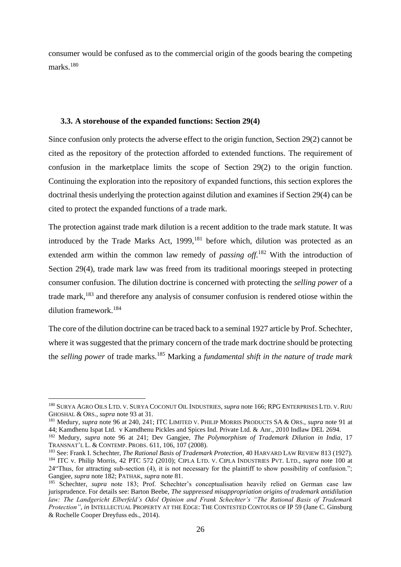consumer would be confused as to the commercial origin of the goods bearing the competing marks.<sup>180</sup>

#### <span id="page-27-0"></span>**3.3. A storehouse of the expanded functions: Section 29(4)**

Since confusion only protects the adverse effect to the origin function, Section 29(2) cannot be cited as the repository of the protection afforded to extended functions. The requirement of confusion in the marketplace limits the scope of Section 29(2) to the origin function. Continuing the exploration into the repository of expanded functions, this section explores the doctrinal thesis underlying the protection against dilution and examines if Section 29(4) can be cited to protect the expanded functions of a trade mark.

The protection against trade mark dilution is a recent addition to the trade mark statute. It was introduced by the Trade Marks Act,  $1999$ ,  $^{181}$  before which, dilution was protected as an extended arm within the common law remedy of *passing off.*<sup>182</sup> With the introduction of Section 29(4), trade mark law was freed from its traditional moorings steeped in protecting consumer confusion. The dilution doctrine is concerned with protecting the *selling power* of a trade mark,<sup>183</sup> and therefore any analysis of consumer confusion is rendered otiose within the dilution framework. 184

The core of the dilution doctrine can be traced back to a seminal 1927 article by Prof. Schechter, where it was suggested that the primary concern of the trade mark doctrine should be protecting the *selling power* of trade marks.<sup>185</sup> Marking a *fundamental shift in the nature of trade mark* 

<sup>180</sup> SURYA AGRO OILS LTD. V. SURYA COCONUT OIL INDUSTRIES, *supra* note 166; RPG ENTERPRISES LTD. V. RIJU GHOSHAL & ORS., *supra* note 93 at 31.

<sup>181</sup> Medury, *supra* note 96 at 240, 241; ITC LIMITED V. PHILIP MORRIS PRODUCTS SA & ORS., *supra* note 91 at 44; Kamdhenu Ispat Ltd. v Kamdhenu Pickles and Spices Ind. Private Ltd. & Anr., 2010 Indlaw DEL 2694.

<sup>182</sup> Medury, *supra* note 96 at 241; Dev Gangjee, *The Polymorphism of Trademark Dilution in India*, 17 TRANSNAT'L L. & CONTEMP. PROBS. 611, 106, 107 (2008).

<sup>183</sup> See: Frank I. Schechter, *The Rational Basis of Trademark Protection*, 40 HARVARD LAW REVIEW 813 (1927).

<sup>184</sup> ITC v. Philip Morris, 42 PTC 572 (2010); CIPLA LTD. V. CIPLA INDUSTRIES PVT. LTD., *supra* note 100 at 24"Thus, for attracting sub-section (4), it is not necessary for the plaintiff to show possibility of confusion."; Gangjee, *supra* note 182; PATHAK, *supra* note 81.

<sup>185</sup> Schechter, *supra* note 183; Prof. Schechter's conceptualisation heavily relied on German case law jurisprudence. For details see: Barton Beebe, *The suppressed misappropriation origins of trademark antidilution law: The Landgericht Elberfeld's Odol Opinion and Frank Schechter's "The Rational Basis of Trademark Protection"*, *in* INTELLECTUAL PROPERTY AT THE EDGE: THE CONTESTED CONTOURS OF IP 59 (Jane C. Ginsburg & Rochelle Cooper Dreyfuss eds., 2014).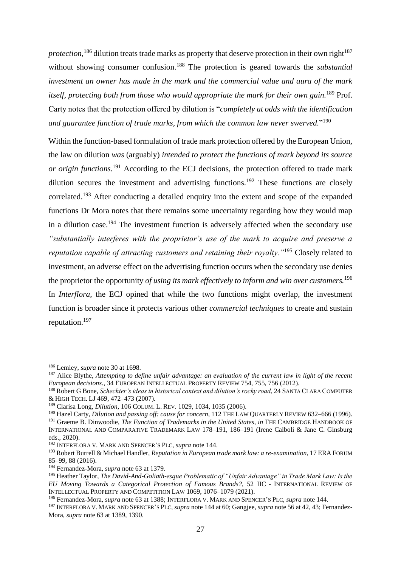*protection*,<sup>186</sup> dilution treats trade marks as property that deserve protection in their own right<sup>187</sup> without showing consumer confusion.<sup>188</sup> The protection is geared towards the *substantial investment an owner has made in the mark and the commercial value and aura of the mark itself, protecting both from those who would appropriate the mark for their own gain.*<sup>189</sup> Prof. Carty notes that the protection offered by dilution is "*completely at odds with the identification and guarantee function of trade marks, from which the common law never swerved.*" 190

Within the function-based formulation of trade mark protection offered by the European Union, the law on dilution *was* (arguably) *intended to protect the functions of mark beyond its source or origin functions.*<sup>191</sup> According to the ECJ decisions, the protection offered to trade mark dilution secures the investment and advertising functions.<sup>192</sup> These functions are closely correlated.<sup>193</sup> After conducting a detailed enquiry into the extent and scope of the expanded functions Dr Mora notes that there remains some uncertainty regarding how they would map in a dilution case.<sup>194</sup> The investment function is adversely affected when the secondary use *"substantially interferes with the proprietor's use of the mark to acquire and preserve a reputation capable of attracting customers and retaining their royalty."*<sup>195</sup> Closely related to investment, an adverse effect on the advertising function occurs when the secondary use denies the proprietor the opportunity *of using its mark effectively to inform and win over customers.*<sup>196</sup> In *Interflora*, the ECJ opined that while the two functions might overlap, the investment function is broader since it protects various other *commercial techniques* to create and sustain reputation.<sup>197</sup>

<sup>186</sup> Lemley, *supra* note 30 at 1698.

<sup>187</sup> Alice Blythe, *Attempting to define unfair advantage: an evaluation of the current law in light of the recent European decisions.*, 34 EUROPEAN INTELLECTUAL PROPERTY REVIEW 754, 755, 756 (2012).

<sup>188</sup> Robert G Bone, *Schechter's ideas in historical context and dilution's rocky road*, 24 SANTA CLARA COMPUTER & HIGH TECH. LJ 469, 472–473 (2007).

<sup>189</sup> Clarisa Long, *Dilution*, 106 COLUM. L. REV. 1029, 1034, 1035 (2006).

<sup>&</sup>lt;sup>190</sup> Hazel Carty, *Dilution and passing off: cause for concern*, 112 THE LAW QUARTERLY REVIEW 632–666 (1996).

<sup>191</sup> Graeme B. Dinwoodie, *The Function of Trademarks in the United States*, *in* THE CAMBRIDGE HANDBOOK OF INTERNATIONAL AND COMPARATIVE TRADEMARK LAW 178–191, 186–191 (Irene Calboli & Jane C. Ginsburg eds., 2020).

<sup>192</sup> INTERFLORA V. MARK AND SPENCER'S PLC, *supra* note 144.

<sup>193</sup> Robert Burrell & Michael Handler, *Reputation in European trade mark law: a re-examination*, 17 ERA FORUM 85–99, 88 (2016).

<sup>194</sup> Fernandez-Mora, *supra* note 63 at 1379.

<sup>195</sup> Heather Taylor, *The David-And-Goliath-esque Problematic of "Unfair Advantage" in Trade Mark Law: Is the EU Moving Towards a Categorical Protection of Famous Brands?*, 52 IIC - INTERNATIONAL REVIEW OF INTELLECTUAL PROPERTY AND COMPETITION LAW 1069, 1076–1079 (2021).

<sup>196</sup> Fernandez-Mora, *supra* note 63 at 1388; INTERFLORA V. MARK AND SPENCER'S PLC, *supra* note 144.

<sup>197</sup> INTERFLORA V. MARK AND SPENCER'S PLC, *supra* note 144 at 60; Gangjee, *supra* note 56 at 42, 43; Fernandez-Mora, *supra* note 63 at 1389, 1390.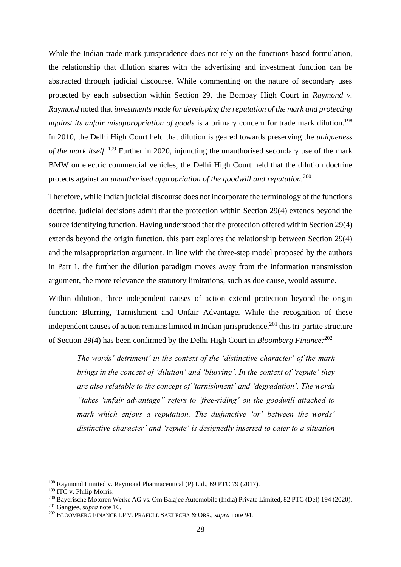While the Indian trade mark jurisprudence does not rely on the functions-based formulation, the relationship that dilution shares with the advertising and investment function can be abstracted through judicial discourse. While commenting on the nature of secondary uses protected by each subsection within Section 29, the Bombay High Court in *Raymond v. Raymond* noted that *investments made for developing the reputation of the mark and protecting* against its unfair misappropriation of goods is a primary concern for trade mark dilution.<sup>198</sup> In 2010, the Delhi High Court held that dilution is geared towards preserving the *uniqueness of the mark itself.* <sup>199</sup> Further in 2020, injuncting the unauthorised secondary use of the mark BMW on electric commercial vehicles, the Delhi High Court held that the dilution doctrine protects against an *unauthorised appropriation of the goodwill and reputation.*<sup>200</sup>

Therefore, while Indian judicial discourse does not incorporate the terminology of the functions doctrine, judicial decisions admit that the protection within Section 29(4) extends beyond the source identifying function. Having understood that the protection offered within Section 29(4) extends beyond the origin function, this part explores the relationship between Section 29(4) and the misappropriation argument. In line with the three-step model proposed by the authors in Part 1, the further the dilution paradigm moves away from the information transmission argument, the more relevance the statutory limitations, such as due cause, would assume.

Within dilution, three independent causes of action extend protection beyond the origin function: Blurring, Tarnishment and Unfair Advantage. While the recognition of these independent causes of action remains limited in Indian jurisprudence, $^{201}$  this tri-partite structure of Section 29(4) has been confirmed by the Delhi High Court in *Bloomberg Finance:*<sup>202</sup>

*The words' detriment' in the context of the 'distinctive character' of the mark brings in the concept of 'dilution' and 'blurring'. In the context of 'repute' they are also relatable to the concept of 'tarnishment' and 'degradation'. The words "takes 'unfair advantage" refers to 'free-riding' on the goodwill attached to mark which enjoys a reputation. The disjunctive 'or' between the words' distinctive character' and 'repute' is designedly inserted to cater to a situation* 

<sup>198</sup> Raymond Limited v. Raymond Pharmaceutical (P) Ltd., 69 PTC 79 (2017).

<sup>&</sup>lt;sup>199</sup> ITC v. Philip Morris.

<sup>200</sup> Bayerische Motoren Werke AG vs. Om Balajee Automobile (India) Private Limited, 82 PTC (Del) 194 (2020).

<sup>201</sup> Gangjee, *supra* note 16.

<sup>202</sup> BLOOMBERG FINANCE LP V. PRAFULL SAKLECHA & ORS., *supra* note 94.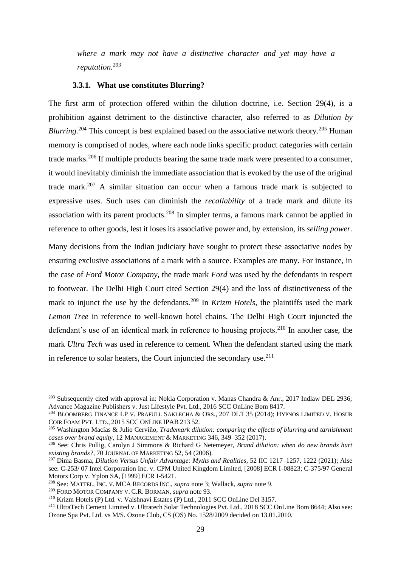*where a mark may not have a distinctive character and yet may have a reputation.*<sup>203</sup>

#### **3.3.1. What use constitutes Blurring?**

<span id="page-30-0"></span>The first arm of protection offered within the dilution doctrine, i.e. Section 29(4), is a prohibition against detriment to the distinctive character, also referred to as *Dilution by Blurring.*<sup>204</sup> This concept is best explained based on the associative network theory.<sup>205</sup> Human memory is comprised of nodes, where each node links specific product categories with certain trade marks.<sup>206</sup> If multiple products bearing the same trade mark were presented to a consumer, it would inevitably diminish the immediate association that is evoked by the use of the original trade mark. <sup>207</sup> A similar situation can occur when a famous trade mark is subjected to expressive uses. Such uses can diminish the *recallability* of a trade mark and dilute its association with its parent products.<sup>208</sup> In simpler terms, a famous mark cannot be applied in reference to other goods, lest it loses its associative power and, by extension, its *selling power.* 

Many decisions from the Indian judiciary have sought to protect these associative nodes by ensuring exclusive associations of a mark with a source. Examples are many. For instance, in the case of *Ford Motor Company,* the trade mark *Ford* was used by the defendants in respect to footwear. The Delhi High Court cited Section 29(4) and the loss of distinctiveness of the mark to injunct the use by the defendants.<sup>209</sup> In *Krizm Hotels*, the plaintiffs used the mark *Lemon Tree* in reference to well-known hotel chains. The Delhi High Court injuncted the defendant's use of an identical mark in reference to housing projects.<sup>210</sup> In another case, the mark *Ultra Tech* was used in reference to cement. When the defendant started using the mark in reference to solar heaters, the Court injuncted the secondary use. $211$ 

<sup>&</sup>lt;sup>203</sup> Subsequently cited with approval in: Nokia Corporation v. Manas Chandra & Anr., 2017 Indlaw DEL 2936; Advance Magazine Publishers v. Just Lifestyle Pvt. Ltd., 2016 SCC OnLine Bom 8417.

<sup>&</sup>lt;sup>204</sup> BLOOMBERG FINANCE LP V. PRAFULL SAKLECHA & ORS., 207 DLT 35 (2014); HYPNOS LIMITED V. HOSUR COIR FOAM PVT. LTD., 2015 SCC ONLINE IPAB 213 52.

<sup>205</sup> Washington Macías & Julio Cerviño, *Trademark dilution: comparing the effects of blurring and tarnishment cases over brand equity*, 12 MANAGEMENT & MARKETING 346, 349–352 (2017).

<sup>206</sup> See: Chris Pullig, Carolyn J Simmons & Richard G Netemeyer, *Brand dilution: when do new brands hurt existing brands?*, 70 JOURNAL OF MARKETING 52, 54 (2006).

<sup>207</sup> Dima Basma, *Dilution Versus Unfair Advantage: Myths and Realities*, 52 IIC 1217–1257, 1222 (2021); Alse see: C-253/ 07 Intel Corporation Inc. v. CPM United Kingdom Limited, [2008] ECR I-08823; C-375/97 General Motors Corp v. Yplon SA, [1999] ECR I-5421.

<sup>208</sup> See: MATTEL, INC. V. MCA RECORDS INC., *supra* note 3; Wallack, *supra* note 9.

<sup>209</sup> FORD MOTOR COMPANY V. C.R. BORMAN, *supra* note 93.

<sup>210</sup> Krizm Hotels (P) Ltd. v. Vaishnavi Estates (P) Ltd., 2011 SCC OnLine Del 3157.

<sup>&</sup>lt;sup>211</sup> UltraTech Cement Limited v. Ultratech Solar Technologies Pvt. Ltd., 2018 SCC OnLine Bom 8644; Also see: Ozone Spa Pvt. Ltd. vs M/S. Ozone Club, CS (OS) No. 1528/2009 decided on 13.01.2010.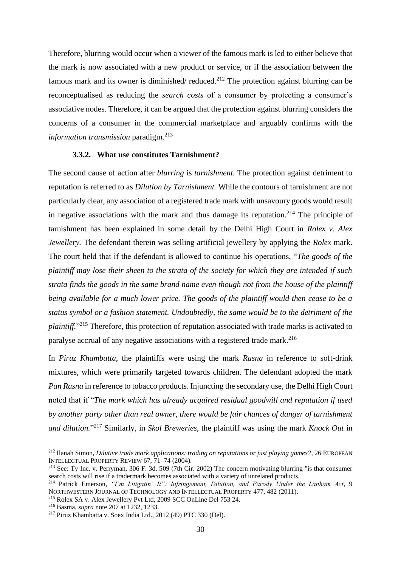Therefore, blurring would occur when a viewer of the famous mark is led to either believe that the mark is now associated with a new product or service, or if the association between the famous mark and its owner is diminished/ reduced.<sup>212</sup> The protection against blurring can be reconceptualised as reducing the *search costs* of a consumer by protecting a consumer's associative nodes. Therefore, it can be argued that the protection against blurring considers the concerns of a consumer in the commercial marketplace and arguably confirms with the *information transmission* paradigm. 213

#### **3.3.2. What use constitutes Tarnishment?**

<span id="page-31-0"></span>The second cause of action after *blurring* is *tarnishment.* The protection against detriment to reputation is referred to as *Dilution by Tarnishment.* While the contours of tarnishment are not particularly clear, any association of a registered trade mark with unsavoury goods would result in negative associations with the mark and thus damage its reputation.<sup>214</sup> The principle of tarnishment has been explained in some detail by the Delhi High Court in *Rolex v. Alex Jewellery.* The defendant therein was selling artificial jewellery by applying the *Rolex* mark. The court held that if the defendant is allowed to continue his operations, "*The goods of the plaintiff may lose their sheen to the strata of the society for which they are intended if such strata finds the goods in the same brand name even though not from the house of the plaintiff being available for a much lower price. The goods of the plaintiff would then cease to be a status symbol or a fashion statement. Undoubtedly, the same would be to the detriment of the plaintiff.*" <sup>215</sup> Therefore, this protection of reputation associated with trade marks is activated to paralyse accrual of any negative associations with a registered trade mark.<sup>216</sup>

In *Piruz Khambatta,* the plaintiffs were using the mark *Rasna* in reference to soft-drink mixtures, which were primarily targeted towards children. The defendant adopted the mark *Pan Rasna* in reference to tobacco products. Injuncting the secondary use, the Delhi High Court noted that if "*The mark which has already acquired residual goodwill and reputation if used by another party other than real owner, there would be fair chances of danger of tarnishment and dilution.*" <sup>217</sup> Similarly, in *Skol Breweries,* the plaintiff was using the mark *Knock Out* in

<sup>212</sup> Ilanah Simon, *Dilutive trade mark applications: trading on reputations or just playing games?*, 26 EUROPEAN INTELLECTUAL PROPERTY REVIEW 67, 71–74 (2004).

<sup>&</sup>lt;sup>213</sup> See: Ty Inc. v. Perryman, 306 F. 3d. 509 (7th Cir. 2002) The concern motivating blurring "is that consumer search costs will rise if a tradermark becomes associated with a variety of unrelated products.

<sup>214</sup> Patrick Emerson, *"I'm Litigatin' It": Infringement, Dilution, and Parody Under the Lanham Act*, 9 NORTHWESTERN JOURNAL OF TECHNOLOGY AND INTELLECTUAL PROPERTY 477, 482 (2011).

<sup>215</sup> Rolex SA v. Alex Jewellery Pvt Ltd, 2009 SCC OnLine Del 753 24.

<sup>216</sup> Basma, *supra* note 207 at 1232, 1233.

<sup>217</sup> Piruz Khambatta v. Soex India Ltd., 2012 (49) PTC 330 (Del).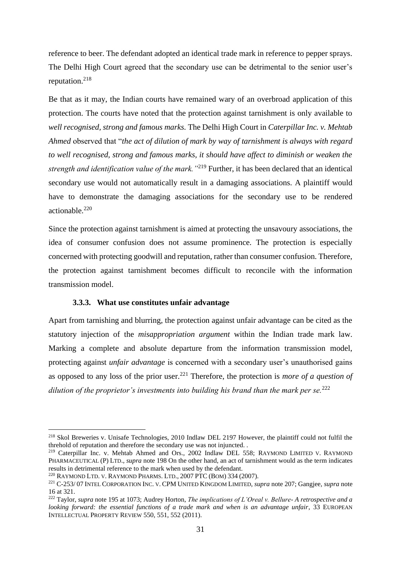reference to beer. The defendant adopted an identical trade mark in reference to pepper sprays. The Delhi High Court agreed that the secondary use can be detrimental to the senior user's reputation.<sup>218</sup>

Be that as it may, the Indian courts have remained wary of an overbroad application of this protection. The courts have noted that the protection against tarnishment is only available to *well recognised, strong and famous marks.* The Delhi High Court in *Caterpillar Inc. v. Mehtab Ahmed* observed that "*the act of dilution of mark by way of tarnishment is always with regard to well recognised, strong and famous marks, it should have affect to diminish or weaken the strength and identification value of the mark."*<sup>219</sup> Further, it has been declared that an identical secondary use would not automatically result in a damaging associations. A plaintiff would have to demonstrate the damaging associations for the secondary use to be rendered actionable. 220

Since the protection against tarnishment is aimed at protecting the unsavoury associations, the idea of consumer confusion does not assume prominence. The protection is especially concerned with protecting goodwill and reputation, rather than consumer confusion. Therefore, the protection against tarnishment becomes difficult to reconcile with the information transmission model.

#### **3.3.3. What use constitutes unfair advantage**

<span id="page-32-0"></span>Apart from tarnishing and blurring, the protection against unfair advantage can be cited as the statutory injection of the *misappropriation argument* within the Indian trade mark law. Marking a complete and absolute departure from the information transmission model, protecting against *unfair advantage* is concerned with a secondary user's unauthorised gains as opposed to any loss of the prior user.<sup>221</sup> Therefore, the protection is *more of a question of dilution of the proprietor's investments into building his brand than the mark per se.*<sup>222</sup>

<sup>218</sup> Skol Breweries v. Unisafe Technologies, 2010 Indlaw DEL 2197 However, the plaintiff could not fulfil the threhold of reputation and therefore the secondary use was not injuncted. .

<sup>&</sup>lt;sup>219</sup> Caterpillar Inc. v. Mehtab Ahmed and Ors., 2002 Indlaw DEL 558; RAYMOND LIMITED V. RAYMOND PHARMACEUTICAL (P) LTD., *supra* note 198 On the other hand, an act of tarnishment would as the term indicates results in detrimental reference to the mark when used by the defendant.

<sup>220</sup> RAYMOND LTD. V. RAYMOND PHARMS. LTD., 2007 PTC (BOM) 334 (2007).

<sup>221</sup> C-253/ 07 INTEL CORPORATION INC. V. CPM UNITED KINGDOM LIMITED, *supra* note 207; Gangjee, *supra* note 16 at 321.

<sup>222</sup> Taylor, *supra* note 195 at 1073; Audrey Horton, *The implications of L'Oreal v. Bellure- A retrospective and a looking forward: the essential functions of a trade mark and when is an advantage unfair*, 33 EUROPEAN INTELLECTUAL PROPERTY REVIEW 550, 551, 552 (2011).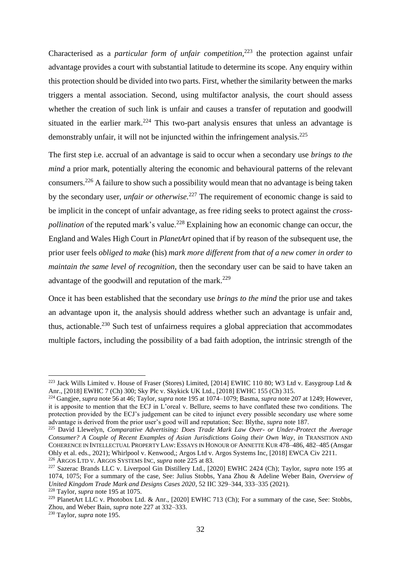Characterised as a *particular form of unfair competition,*<sup>223</sup> the protection against unfair advantage provides a court with substantial latitude to determine its scope. Any enquiry within this protection should be divided into two parts. First, whether the similarity between the marks triggers a mental association. Second, using multifactor analysis, the court should assess whether the creation of such link is unfair and causes a transfer of reputation and goodwill situated in the earlier mark.<sup>224</sup> This two-part analysis ensures that unless an advantage is demonstrably unfair, it will not be injuncted within the infringement analysis.<sup>225</sup>

The first step i.e. accrual of an advantage is said to occur when a secondary use *brings to the mind* a prior mark, potentially altering the economic and behavioural patterns of the relevant consumers.<sup>226</sup> A failure to show such a possibility would mean that no advantage is being taken by the secondary user, *unfair or otherwise.*<sup>227</sup> The requirement of economic change is said to be implicit in the concept of unfair advantage, as free riding seeks to protect against the *crosspollination* of the reputed mark's value.<sup>228</sup> Explaining how an economic change can occur, the England and Wales High Court in *PlanetArt* opined that if by reason of the subsequent use, the prior user feels *obliged to make* (his) *mark more different from that of a new comer in order to maintain the same level of recognition,* then the secondary user can be said to have taken an advantage of the goodwill and reputation of the mark.<sup>229</sup>

Once it has been established that the secondary use *brings to the mind* the prior use and takes an advantage upon it, the analysis should address whether such an advantage is unfair and, thus, actionable.<sup>230</sup> Such test of unfairness requires a global appreciation that accommodates multiple factors, including the possibility of a bad faith adoption, the intrinsic strength of the

<sup>&</sup>lt;sup>223</sup> Jack Wills Limited v. House of Fraser (Stores) Limited, [2014] EWHC 110 80; W3 Ltd v. Easygroup Ltd & Anr., [2018] EWHC 7 (Ch) 300; Sky Plc v. Skykick UK Ltd., [2018] EWHC 155 (Ch) 315.

<sup>224</sup> Gangjee, *supra* note 56 at 46; Taylor, *supra* note 195 at 1074–1079; Basma, *supra* note 207 at 1249; However, it is apposite to mention that the ECJ in L'oreal v. Bellure, seems to have conflated these two conditions. The protection provided by the ECJ's judgement can be cited to injunct every possible secondary use where some advantage is derived from the prior user's good will and reputation; See: Blythe, *supra* note 187.

<sup>225</sup> David Llewelyn, *Comparative Advertising: Does Trade Mark Law Over- or Under-Protect the Average Consumer? A Couple of Recent Examples of Asian Jurisdictions Going their Own Way*, *in* TRANSITION AND COHERENCE IN INTELLECTUAL PROPERTY LAW: ESSAYS IN HONOUR OF ANNETTE KUR 478–486, 482–485 (Ansgar Ohly et al. eds., 2021); Whirlpool v. Kenwood,; Argos Ltd v. Argos Systems Inc, [2018] EWCA Civ 2211. <sup>226</sup> ARGOS LTD V. ARGOS SYSTEMS INC, *supra* note 225 at 83.

<sup>227</sup> Sazerac Brands LLC v. Liverpool Gin Distillery Ltd., [2020] EWHC 2424 (Ch); Taylor, *supra* note 195 at 1074, 1075; For a summary of the case, See: Julius Stobbs, Yana Zhou & Adeline Weber Bain, *Overview of United Kingdom Trade Mark and Designs Cases 2020*, 52 IIC 329–344, 333–335 (2021).

<sup>228</sup> Taylor, *supra* note 195 at 1075.

<sup>&</sup>lt;sup>229</sup> PlanetArt LLC v. Photobox Ltd. & Anr., [2020] EWHC 713 (Ch); For a summary of the case, See: Stobbs, Zhou, and Weber Bain, *supra* note 227 at 332–333.

<sup>230</sup> Taylor, *supra* note 195.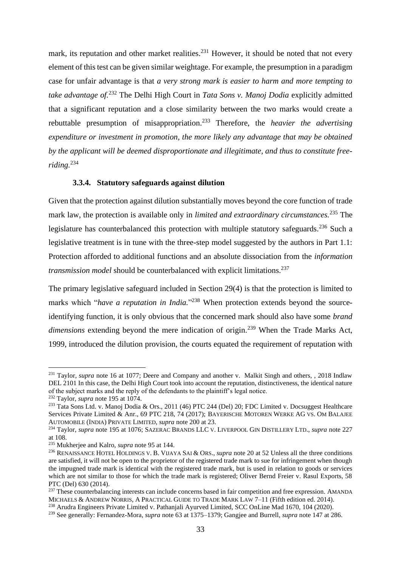mark, its reputation and other market realities.<sup>231</sup> However, it should be noted that not every element of this test can be given similar weightage. For example, the presumption in a paradigm case for unfair advantage is that *a very strong mark is easier to harm and more tempting to take advantage of.*<sup>232</sup> The Delhi High Court in *Tata Sons v. Manoj Dodia* explicitly admitted that a significant reputation and a close similarity between the two marks would create a rebuttable presumption of misappropriation.<sup>233</sup> Therefore, the *heavier the advertising expenditure or investment in promotion, the more likely any advantage that may be obtained by the applicant will be deemed disproportionate and illegitimate, and thus to constitute freeriding.*<sup>234</sup>

### **3.3.4. Statutory safeguards against dilution**

<span id="page-34-0"></span>Given that the protection against dilution substantially moves beyond the core function of trade mark law, the protection is available only in *limited and extraordinary circumstances.*<sup>235</sup> The legislature has counterbalanced this protection with multiple statutory safeguards.<sup>236</sup> Such a legislative treatment is in tune with the three-step model suggested by the authors in Part 1.1: Protection afforded to additional functions and an absolute dissociation from the *information transmission model* should be counterbalanced with explicit limitations.<sup>237</sup>

The primary legislative safeguard included in Section 29(4) is that the protection is limited to marks which "*have a reputation in India*."<sup>238</sup> When protection extends beyond the sourceidentifying function, it is only obvious that the concerned mark should also have some *brand dimensions* extending beyond the mere indication of origin.<sup>239</sup> When the Trade Marks Act, 1999, introduced the dilution provision, the courts equated the requirement of reputation with

<sup>&</sup>lt;sup>231</sup> Taylor, *supra* note 16 at 1077; Deere and Company and another v. Malkit Singh and others, , 2018 Indlaw DEL 2101 In this case, the Delhi High Court took into account the reputation, distinctiveness, the identical nature of the subject marks and the reply of the defendants to the plaintiff's legal notice.

<sup>232</sup> Taylor, *supra* note 195 at 1074.

<sup>&</sup>lt;sup>233</sup> Tata Sons Ltd. v. Manoj Dodia & Ors., 2011 (46) PTC 244 (Del) 20; FDC Limited v. Docsuggest Healthcare Services Private Limited & Anr., 69 PTC 218, 74 (2017); BAYERISCHE MOTOREN WERKE AG VS. OM BALAJEE AUTOMOBILE (INDIA) PRIVATE LIMITED, *supra* note 200 at 23.

<sup>234</sup> Taylor, *supra* note 195 at 1076; SAZERAC BRANDS LLC V. LIVERPOOL GIN DISTILLERY LTD., *supra* note 227 at 108.

<sup>235</sup> Mukherjee and Kalro, *supra* note 95 at 144.

<sup>236</sup> RENAISSANCE HOTEL HOLDINGS V. B. VIJAYA SAI & ORS., *supra* note 20 at 52 Unless all the three conditions are satisfied, it will not be open to the proprietor of the registered trade mark to sue for infringement when though the impugned trade mark is identical with the registered trade mark, but is used in relation to goods or services which are not similar to those for which the trade mark is registered; Oliver Bernd Freier v. Rasul Exports, 58 PTC (Del) 630 (2014).

<sup>&</sup>lt;sup>237</sup> These counterbalancing interests can include concerns based in fair competition and free expression. AMANDA MICHAELS & ANDREW NORRIS, A PRACTICAL GUIDE TO TRADE MARK LAW 7–11 (Fifth edition ed. 2014).

<sup>&</sup>lt;sup>238</sup> Arudra Engineers Private Limited v. Pathanjali Ayurved Limited, SCC OnLine Mad 1670, 104 (2020).

<sup>239</sup> See generally: Fernandez-Mora, *supra* note 63 at 1375–1379; Gangjee and Burrell, *supra* note 147 at 286.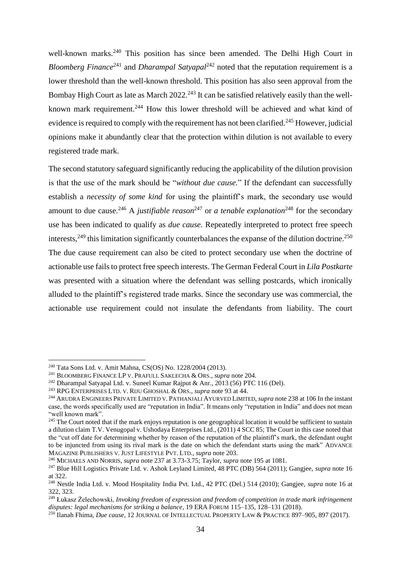well-known marks.<sup>240</sup> This position has since been amended. The Delhi High Court in *Bloomberg Finance*<sup>241</sup> and *Dharampal Satyapal*<sup>242</sup> noted that the reputation requirement is a lower threshold than the well-known threshold. This position has also seen approval from the Bombay High Court as late as March  $2022<sup>243</sup>$  It can be satisfied relatively easily than the wellknown mark requirement.<sup>244</sup> How this lower threshold will be achieved and what kind of evidence is required to comply with the requirement has not been clarified.<sup>245</sup> However, judicial opinions make it abundantly clear that the protection within dilution is not available to every registered trade mark.

The second statutory safeguard significantly reducing the applicability of the dilution provision is that the use of the mark should be "*without due cause.*" If the defendant can successfully establish a *necessity of some kind* for using the plaintiff's mark, the secondary use would amount to due cause.<sup>246</sup> A *justifiable reason*<sup>247</sup> or *a tenable explanation*<sup>248</sup> for the secondary use has been indicated to qualify as *due cause.* Repeatedly interpreted to protect free speech interests,  $249$  this limitation significantly counterbalances the expanse of the dilution doctrine.  $250$ The due cause requirement can also be cited to protect secondary use when the doctrine of actionable use fails to protect free speech interests. The German Federal Court in *Lila Postkarte* was presented with a situation where the defendant was selling postcards, which ironically alluded to the plaintiff's registered trade marks. Since the secondary use was commercial, the actionable use requirement could not insulate the defendants from liability. The court

<sup>246</sup> MICHAELS AND NORRIS, *supra* note 237 at 3.73-3.75; Taylor, *supra* note 195 at 1081.

<sup>240</sup> Tata Sons Ltd. v. Amit Mahna, CS(OS) No. 1228/2004 (2013).

<sup>241</sup> BLOOMBERG FINANCE LP V. PRAFULL SAKLECHA & ORS., *supra* note 204.

 $242$  Dharampal Satyapal Ltd. v. Suneel Kumar Rajput & Anr., 2013 (56) PTC 116 (Del).

<sup>243</sup> RPG ENTERPRISES LTD. V. RIJU GHOSHAL & ORS., *supra* note 93 at 44.

<sup>244</sup> ARUDRA ENGINEERS PRIVATE LIMITED V. PATHANJALI AYURVED LIMITED, *supra* note 238 at 106 In the instant case, the words specifically used are "reputation in India". It means only "reputation in India" and does not mean "well known mark".

 $245$  The Court noted that if the mark enjoys reputation is one geographical location it would be sufficient to sustain a dilution claim T.V. Venugopal v. Ushodaya Enterprises Ltd., (2011) 4 SCC 85; The Court in this case noted that the "cut off date for determining whether by reason of the reputation of the plaintiff's mark, the defendant ought to be injuncted from using its rival mark is the date on which the defendant starts using the mark" ADVANCE MAGAZINE PUBLISHERS V. JUST LIFESTYLE PVT. LTD., *supra* note 203.

<sup>247</sup> Blue Hill Logistics Private Ltd. v. Ashok Leyland Limited, 48 PTC (DB) 564 (2011); Gangjee, *supra* note 16 at 322.

<sup>248</sup> Nestle India Ltd. v. Mood Hospitality India Pvt. Ltd., 42 PTC (Del.) 514 (2010); Gangjee, *supra* note 16 at 322, 323.

<sup>249</sup> Łukasz Żelechowski, *Invoking freedom of expression and freedom of competition in trade mark infringement disputes: legal mechanisms for striking a balance*, 19 ERA FORUM 115–135, 128–131 (2018).

<sup>250</sup> Ilanah Fhima, *Due cause*, 12 JOURNAL OF INTELLECTUAL PROPERTY LAW & PRACTICE 897–905, 897 (2017).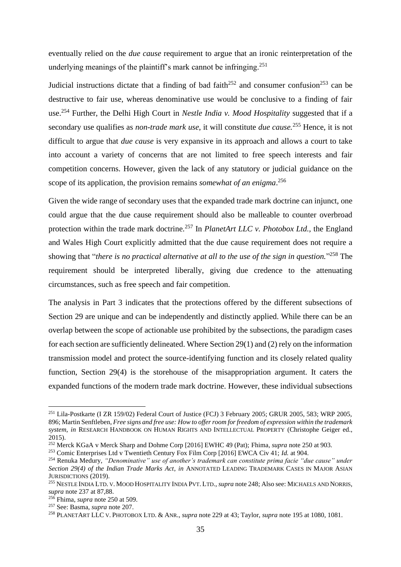eventually relied on the *due cause* requirement to argue that an ironic reinterpretation of the underlying meanings of the plaintiff's mark cannot be infringing.<sup>251</sup>

Judicial instructions dictate that a finding of bad faith<sup>252</sup> and consumer confusion<sup>253</sup> can be destructive to fair use, whereas denominative use would be conclusive to a finding of fair use.<sup>254</sup> Further, the Delhi High Court in *Nestle India v. Mood Hospitality* suggested that if a secondary use qualifies as *non-trade mark use*, it will constitute *due cause.*<sup>255</sup> Hence, it is not difficult to argue that *due cause* is very expansive in its approach and allows a court to take into account a variety of concerns that are not limited to free speech interests and fair competition concerns. However, given the lack of any statutory or judicial guidance on the scope of its application, the provision remains *somewhat of an enigma*. 256

Given the wide range of secondary uses that the expanded trade mark doctrine can injunct, one could argue that the due cause requirement should also be malleable to counter overbroad protection within the trade mark doctrine.<sup>257</sup> In *PlanetArt LLC v. Photobox Ltd.*, the England and Wales High Court explicitly admitted that the due cause requirement does not require a showing that "*there is no practical alternative at all to the use of the sign in question.*" <sup>258</sup> The requirement should be interpreted liberally, giving due credence to the attenuating circumstances, such as free speech and fair competition.

The analysis in Part 3 indicates that the protections offered by the different subsections of Section 29 are unique and can be independently and distinctly applied. While there can be an overlap between the scope of actionable use prohibited by the subsections, the paradigm cases for each section are sufficiently delineated. Where Section 29(1) and (2) rely on the information transmission model and protect the source-identifying function and its closely related quality function, Section 29(4) is the storehouse of the misappropriation argument. It caters the expanded functions of the modern trade mark doctrine. However, these individual subsections

<sup>251</sup> Lila-Postkarte (I ZR 159/02) Federal Court of Justice (FCJ) 3 February 2005; GRUR 2005, 583; WRP 2005, 896; Martin Senftleben, *Free signs and free use: How to offer room for freedom of expression within the trademark system*, *in* RESEARCH HANDBOOK ON HUMAN RIGHTS AND INTELLECTUAL PROPERTY (Christophe Geiger ed., 2015).

<sup>252</sup> Merck KGaA v Merck Sharp and Dohme Corp [2016] EWHC 49 (Pat); Fhima, *supra* note 250 at 903.

<sup>253</sup> Comic Enterprises Ltd v Twentieth Century Fox Film Corp [2016] EWCA Civ 41; *Id.* at 904.

<sup>254</sup> Renuka Medury, *"Denominative" use of another's trademark can constitute prima facie "due cause" under Section 29(4) of the Indian Trade Marks Act*, *in* ANNOTATED LEADING TRADEMARK CASES IN MAJOR ASIAN JURISDICTIONS (2019).

<sup>255</sup> NESTLE INDIA LTD. V. MOOD HOSPITALITY INDIA PVT. LTD., *supra* note 248; Also see: MICHAELS AND NORRIS, *supra* note 237 at 87,88.

<sup>256</sup> Fhima, *supra* note 250 at 509.

<sup>257</sup> See: Basma, *supra* note 207.

<sup>258</sup> PLANETART LLC V. PHOTOBOX LTD. & ANR., *supra* note 229 at 43; Taylor, *supra* note 195 at 1080, 1081.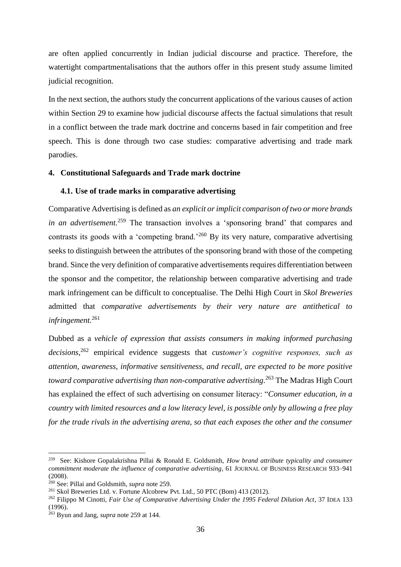are often applied concurrently in Indian judicial discourse and practice. Therefore, the watertight compartmentalisations that the authors offer in this present study assume limited judicial recognition.

In the next section, the authors study the concurrent applications of the various causes of action within Section 29 to examine how judicial discourse affects the factual simulations that result in a conflict between the trade mark doctrine and concerns based in fair competition and free speech. This is done through two case studies: comparative advertising and trade mark parodies.

## <span id="page-37-0"></span>**4. Constitutional Safeguards and Trade mark doctrine**

#### <span id="page-37-1"></span>**4.1. Use of trade marks in comparative advertising**

Comparative Advertising is defined as *an explicit or implicit comparison of two or more brands in an advertisement.*<sup>259</sup> The transaction involves a 'sponsoring brand' that compares and contrasts its goods with a 'competing brand.'<sup>260</sup> By its very nature, comparative advertising seeks to distinguish between the attributes of the sponsoring brand with those of the competing brand. Since the very definition of comparative advertisements requires differentiation between the sponsor and the competitor, the relationship between comparative advertising and trade mark infringement can be difficult to conceptualise. The Delhi High Court in *Skol Breweries*  admitted that *comparative advertisements by their very nature are antithetical to infringement.*<sup>261</sup>

Dubbed as a *vehicle of expression that assists consumers in making informed purchasing decisions,*<sup>262</sup> empirical evidence suggests that *customer's cognitive responses, such as attention, awareness, informative sensitiveness, and recall, are expected to be more positive toward comparative advertising than non-comparative advertising*. <sup>263</sup> The Madras High Court has explained the effect of such advertising on consumer literacy: "*Consumer education, in a country with limited resources and a low literacy level, is possible only by allowing a free play for the trade rivals in the advertising arena, so that each exposes the other and the consumer* 

<sup>259</sup> See: Kishore Gopalakrishna Pillai & Ronald E. Goldsmith, *How brand attribute typicality and consumer commitment moderate the influence of comparative advertising*, 61 JOURNAL OF BUSINESS RESEARCH 933–941 (2008).

<sup>260</sup> See: Pillai and Goldsmith, *supra* note 259.

<sup>261</sup> Skol Breweries Ltd. v. Fortune Alcobrew Pvt. Ltd., 50 PTC (Bom) 413 (2012).

<sup>262</sup> Filippo M Cinotti, *Fair Use of Comparative Advertising Under the 1995 Federal Dilution Act*, 37 IDEA 133 (1996).

<sup>263</sup> Byun and Jang, *supra* note 259 at 144.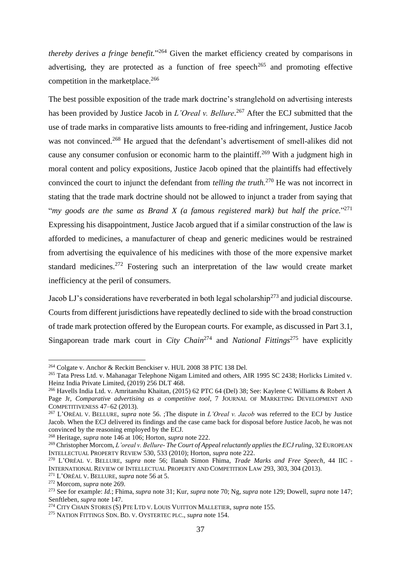*thereby derives a fringe benefit.*" <sup>264</sup> Given the market efficiency created by comparisons in advertising, they are protected as a function of free speech<sup>265</sup> and promoting effective competition in the marketplace.<sup>266</sup>

The best possible exposition of the trade mark doctrine's stranglehold on advertising interests has been provided by Justice Jacob in *L'Oreal v. Bellure*. <sup>267</sup> After the ECJ submitted that the use of trade marks in comparative lists amounts to free-riding and infringement, Justice Jacob was not convinced.<sup>268</sup> He argued that the defendant's advertisement of smell-alikes did not cause any consumer confusion or economic harm to the plaintiff.<sup>269</sup> With a judgment high in moral content and policy expositions, Justice Jacob opined that the plaintiffs had effectively convinced the court to injunct the defendant from *telling the truth.*<sup>270</sup> He was not incorrect in stating that the trade mark doctrine should not be allowed to injunct a trader from saying that "*my goods are the same as Brand X (a famous registered mark) but half the price.*" 271 Expressing his disappointment, Justice Jacob argued that if a similar construction of the law is afforded to medicines, a manufacturer of cheap and generic medicines would be restrained from advertising the equivalence of his medicines with those of the more expensive market standard medicines.<sup>272</sup> Fostering such an interpretation of the law would create market inefficiency at the peril of consumers.

Jacob LJ's considerations have reverberated in both legal scholarship<sup>273</sup> and judicial discourse. Courts from different jurisdictions have repeatedly declined to side with the broad construction of trade mark protection offered by the European courts. For example, as discussed in Part 3.1, Singaporean trade mark court in *City Chain*<sup>274</sup> and *National Fittings*<sup>275</sup> have explicitly

<sup>264</sup> Colgate v. Anchor & Reckitt Benckiser v. HUL 2008 38 PTC 138 Del.

<sup>&</sup>lt;sup>265</sup> Tata Press Ltd. v. Mahanagar Telephone Nigam Limited and others, AIR 1995 SC 2438; Horlicks Limited v. Heinz India Private Limited, (2019) 256 DLT 468.

<sup>266</sup> Havells India Ltd. v. Amritanshu Khaitan, (2015) 62 PTC 64 (Del) 38; See: Kaylene C Williams & Robert A Page Jr, *Comparative advertising as a competitive tool*, 7 JOURNAL OF MARKETING DEVELOPMENT AND COMPETITIVENESS 47–62 (2013).

<sup>267</sup> L'ORÉAL V. BELLURE, *supra* note 56. ;The dispute in *L'Oreal v. Jacob* was referred to the ECJ by Justice Jacob. When the ECJ delivered its findings and the case came back for disposal before Justice Jacob, he was not convinced by the reasoning employed by the ECJ.

<sup>268</sup> Heritage, *supra* note 146 at 106; Horton, *supra* note 222.

<sup>269</sup> Christopher Morcom, *L'oreal v. Bellure- The Court of Appeal reluctantly applies the ECJ ruling*, 32 EUROPEAN INTELLECTUAL PROPERTY REVIEW 530, 533 (2010); Horton, *supra* note 222.

<sup>270</sup> L'ORÉAL V. BELLURE, *supra* note 56; Ilanah Simon Fhima, *Trade Marks and Free Speech*, 44 IIC - INTERNATIONAL REVIEW OF INTELLECTUAL PROPERTY AND COMPETITION LAW 293, 303, 304 (2013).

<sup>271</sup> L'ORÉAL V. BELLURE, *supra* note 56 at 5.

<sup>272</sup> Morcom, *supra* note 269.

<sup>273</sup> See for example: *Id.*; Fhima, *supra* note 31; Kur, *supra* note 70; Ng, *supra* note 129; Dowell, *supra* note 147; Senftleben, *supra* note 147.

<sup>274</sup> CITY CHAIN STORES (S) PTE LTD V. LOUIS VUITTON MALLETIER, *supra* note 155.

<sup>275</sup> NATION FITTINGS SDN. BD. V. OYSTERTEC PLC., *supra* note 154.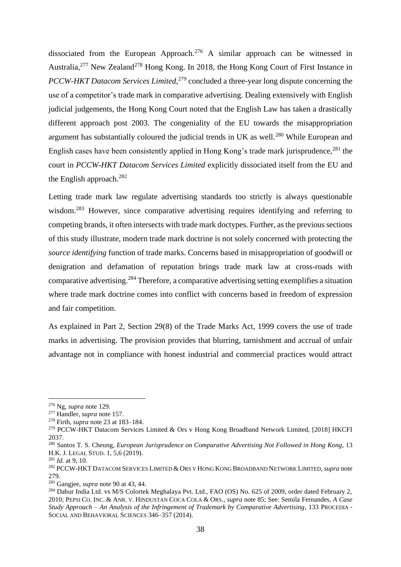dissociated from the European Approach.<sup>276</sup> A similar approach can be witnessed in Australia,<sup>277</sup> New Zealand<sup>278</sup> Hong Kong. In 2018, the Hong Kong Court of First Instance in *PCCW-HKT Datacom Services Limited*, <sup>279</sup> concluded a three-year long dispute concerning the use of a competitor's trade mark in comparative advertising. Dealing extensively with English judicial judgements, the Hong Kong Court noted that the English Law has taken a drastically different approach post 2003. The congeniality of the EU towards the misappropriation argument has substantially coloured the judicial trends in UK as well.<sup>280</sup> While European and English cases have been consistently applied in Hong Kong's trade mark jurisprudence,  $^{281}$  the court in *PCCW-HKT Datacom Services Limited* explicitly dissociated itself from the EU and the English approach.<sup>282</sup>

Letting trade mark law regulate advertising standards too strictly is always questionable wisdom.<sup>283</sup> However, since comparative advertising requires identifying and referring to competing brands, it often intersects with trade mark doctypes. Further, as the previous sections of this study illustrate, modern trade mark doctrine is not solely concerned with protecting the *source identifying* function of trade marks. Concerns based in misappropriation of goodwill or denigration and defamation of reputation brings trade mark law at cross-roads with comparative advertising.<sup>284</sup> Therefore, a comparative advertising setting exemplifies a situation where trade mark doctrine comes into conflict with concerns based in freedom of expression and fair competition.

As explained in Part 2, Section 29(8) of the Trade Marks Act, 1999 covers the use of trade marks in advertising. The provision provides that blurring, tarnishment and accrual of unfair advantage not in compliance with honest industrial and commercial practices would attract

<sup>276</sup> Ng, *supra* note 129.

<sup>277</sup> Handler, *supra* note 157.

<sup>278</sup> Firth, *supra* note 23 at 183–184.

<sup>&</sup>lt;sup>279</sup> PCCW-HKT Datacom Services Limited & Ors v Hong Kong Broadband Network Limited, [2018] HKCFI 2037.

<sup>280</sup> Santos T. S. Cheung, *European Jurisprudence on Comparative Advertising Not Followed in Hong Kong*, 13 H.K. J. LEGAL STUD. 1, 5,6 (2019).

<sup>281</sup> *Id.* at 9, 10.

<sup>282</sup> PCCW-HKT DATACOM SERVICES LIMITED & ORS V HONG KONG BROADBAND NETWORK LIMITED, *supra* note 279.

<sup>283</sup> Gangjee, *supra* note 90 at 43, 44.

<sup>&</sup>lt;sup>284</sup> Dabur India Ltd. vs M/S Colortek Meghalaya Pvt. Ltd., FAO (OS) No. 625 of 2009, order dated February 2, 2010; PEPSI CO. INC. & ANR. V. HINDUSTAN COCA COLA & ORS., *supra* note 85; See: Semila Fernandes, *A Case Study Approach – An Analysis of the Infringement of Trademark by Comparative Advertising*, 133 PROCEDIA - SOCIAL AND BEHAVIORAL SCIENCES 346–357 (2014).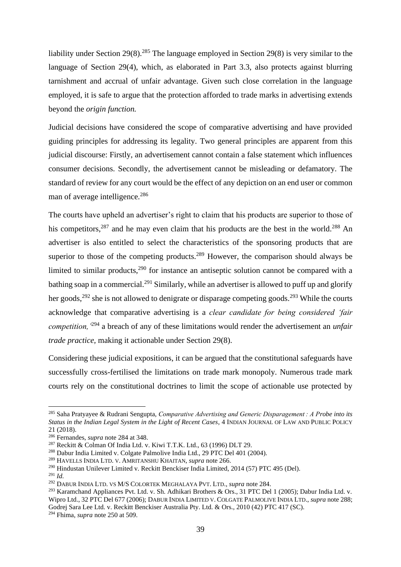liability under Section 29(8).<sup>285</sup> The language employed in Section 29(8) is very similar to the language of Section 29(4), which, as elaborated in Part 3.3, also protects against blurring tarnishment and accrual of unfair advantage. Given such close correlation in the language employed, it is safe to argue that the protection afforded to trade marks in advertising extends beyond the *origin function.* 

Judicial decisions have considered the scope of comparative advertising and have provided guiding principles for addressing its legality. Two general principles are apparent from this judicial discourse: Firstly, an advertisement cannot contain a false statement which influences consumer decisions. Secondly, the advertisement cannot be misleading or defamatory. The standard of review for any court would be the effect of any depiction on an end user or common man of average intelligence.<sup>286</sup>

The courts have upheld an advertiser's right to claim that his products are superior to those of his competitors,  $287$  and he may even claim that his products are the best in the world.<sup>288</sup> An advertiser is also entitled to select the characteristics of the sponsoring products that are superior to those of the competing products.<sup>289</sup> However, the comparison should always be limited to similar products,  $290$  for instance an antiseptic solution cannot be compared with a bathing soap in a commercial.<sup>291</sup> Similarly, while an advertiser is allowed to puff up and glorify her goods,  $292$  she is not allowed to denigrate or disparage competing goods.  $293$  While the courts acknowledge that comparative advertising is a *clear candidate for being considered 'fair competition,'*<sup>294</sup> a breach of any of these limitations would render the advertisement an *unfair trade practice,* making it actionable under Section 29(8).

Considering these judicial expositions, it can be argued that the constitutional safeguards have successfully cross-fertilised the limitations on trade mark monopoly. Numerous trade mark courts rely on the constitutional doctrines to limit the scope of actionable use protected by

<sup>285</sup> Saha Pratyayee & Rudrani Sengupta, *Comparative Advertising and Generic Disparagement : A Probe into its Status in the Indian Legal System in the Light of Recent Cases*, 4 INDIAN JOURNAL OF LAW AND PUBLIC POLICY 21 (2018).

<sup>286</sup> Fernandes, *supra* note 284 at 348.

<sup>287</sup> Reckitt & Colman Of India Ltd. v. Kiwi T.T.K. Ltd., 63 (1996) DLT 29.

<sup>288</sup> Dabur India Limited v. Colgate Palmolive India Ltd., 29 PTC Del 401 (2004).

<sup>289</sup> HAVELLS INDIA LTD. V. AMRITANSHU KHAITAN, *supra* note 266.

<sup>290</sup> Hindustan Unilever Limited v. Reckitt Benckiser India Limited, 2014 (57) PTC 495 (Del).

<sup>291</sup> *Id.*

<sup>292</sup> DABUR INDIA LTD. VS M/S COLORTEK MEGHALAYA PVT. LTD., *supra* note 284.

<sup>&</sup>lt;sup>293</sup> Karamchand Appliances Pvt. Ltd. v. Sh. Adhikari Brothers & Ors., 31 PTC Del 1 (2005); Dabur India Ltd. v. Wipro Ltd., 32 PTC Del 677 (2006); DABUR INDIA LIMITED V. COLGATE PALMOLIVE INDIA LTD., *supra* note 288; Godrej Sara Lee Ltd. v. Reckitt Benckiser Australia Pty. Ltd. & Ors., 2010 (42) PTC 417 (SC). <sup>294</sup> Fhima, *supra* note 250 at 509.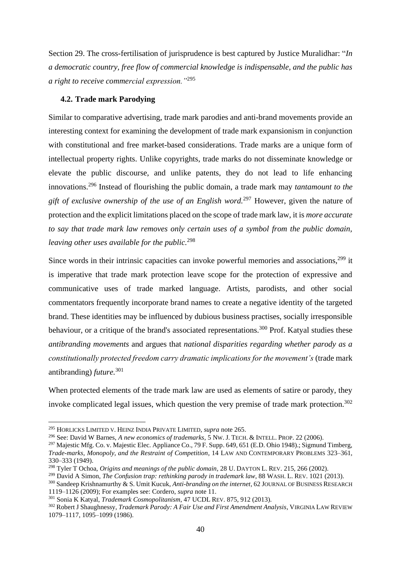Section 29. The cross-fertilisation of jurisprudence is best captured by Justice Muralidhar: "*In a democratic country, free flow of commercial knowledge is indispensable, and the public has a right to receive commercial expression."*<sup>295</sup>

#### <span id="page-41-0"></span>**4.2. Trade mark Parodying**

Similar to comparative advertising, trade mark parodies and anti-brand movements provide an interesting context for examining the development of trade mark expansionism in conjunction with constitutional and free market-based considerations. Trade marks are a unique form of intellectual property rights. Unlike copyrights, trade marks do not disseminate knowledge or elevate the public discourse, and unlike patents, they do not lead to life enhancing innovations.<sup>296</sup> Instead of flourishing the public domain, a trade mark may *tantamount to the gift of exclusive ownership of the use of an English word.*<sup>297</sup> However, given the nature of protection and the explicit limitations placed on the scope of trade mark law, it is *more accurate to say that trade mark law removes only certain uses of a symbol from the public domain, leaving other uses available for the public.*<sup>298</sup>

Since words in their intrinsic capacities can invoke powerful memories and associations,<sup>299</sup> it is imperative that trade mark protection leave scope for the protection of expressive and communicative uses of trade marked language. Artists, parodists, and other social commentators frequently incorporate brand names to create a negative identity of the targeted brand. These identities may be influenced by dubious business practises, socially irresponsible behaviour, or a critique of the brand's associated representations.<sup>300</sup> Prof. Katyal studies these *antibranding movements* and argues that *national disparities regarding whether parody as a constitutionally protected freedom carry dramatic implications for the movement's* (trade mark antibranding) *future.*<sup>301</sup>

When protected elements of the trade mark law are used as elements of satire or parody, they invoke complicated legal issues, which question the very premise of trade mark protection.<sup>302</sup>

<sup>295</sup> HORLICKS LIMITED V. HEINZ INDIA PRIVATE LIMITED, *supra* note 265.

<sup>296</sup> See: David W Barnes, *A new economics of trademarks*, 5 NW. J. TECH. & INTELL. PROP. 22 (2006).

<sup>297</sup> Majestic Mfg. Co. v. Majestic Elec. Appliance Co., 79 F. Supp. 649, 651 (E.D. Ohio 1948).; Sigmund Timberg, *Trade-marks, Monopoly, and the Restraint of Competition*, 14 LAW AND CONTEMPORARY PROBLEMS 323–361, 330–333 (1949).

<sup>298</sup> Tyler T Ochoa, *Origins and meanings of the public domain*, 28 U. DAYTON L. REV. 215, 266 (2002).

<sup>&</sup>lt;sup>299</sup> David A Simon, *The Confusion trap: rethinking parody in trademark law*, 88 WASH. L. REV. 1021 (2013).

<sup>300</sup> Sandeep Krishnamurthy & S. Umit Kucuk, *Anti-branding on the internet*, 62 JOURNAL OF BUSINESS RESEARCH 1119–1126 (2009); For examples see: Cordero, *supra* note 11.

<sup>301</sup> Sonia K Katyal, *Trademark Cosmopolitanism*, 47 UCDL REV. 875, 912 (2013).

<sup>302</sup> Robert J Shaughnessy, *Trademark Parody: A Fair Use and First Amendment Analysis*, VIRGINIA LAW REVIEW 1079–1117, 1095–1099 (1986).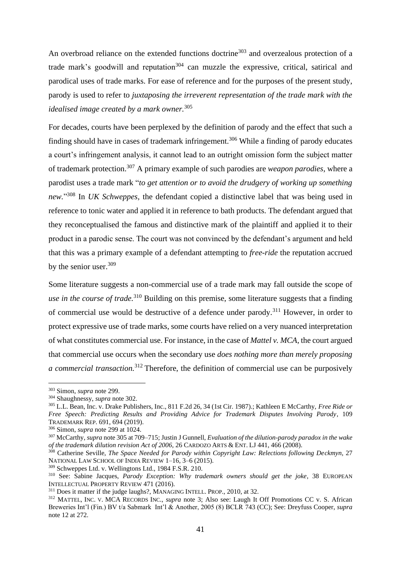An overbroad reliance on the extended functions doctrine<sup>303</sup> and overzealous protection of a trade mark's goodwill and reputation<sup>304</sup> can muzzle the expressive, critical, satirical and parodical uses of trade marks. For ease of reference and for the purposes of the present study, parody is used to refer to *juxtaposing the irreverent representation of the trade mark with the idealised image created by a mark owner.*<sup>305</sup>

For decades, courts have been perplexed by the definition of parody and the effect that such a finding should have in cases of trademark infringement.<sup>306</sup> While a finding of parody educates a court's infringement analysis, it cannot lead to an outright omission form the subject matter of trademark protection.<sup>307</sup> A primary example of such parodies are *weapon parodies*, where a parodist uses a trade mark "*to get attention or to avoid the drudgery of working up something new.*" <sup>308</sup> In *UK Schweppes,* the defendant copied a distinctive label that was being used in reference to tonic water and applied it in reference to bath products. The defendant argued that they reconceptualised the famous and distinctive mark of the plaintiff and applied it to their product in a parodic sense. The court was not convinced by the defendant's argument and held that this was a primary example of a defendant attempting to *free-ride* the reputation accrued by the senior user.<sup>309</sup>

Some literature suggests a non-commercial use of a trade mark may fall outside the scope of *use in the course of trade.*<sup>310</sup> Building on this premise, some literature suggests that a finding of commercial use would be destructive of a defence under parody.<sup>311</sup> However, in order to protect expressive use of trade marks, some courts have relied on a very nuanced interpretation of what constitutes commercial use. For instance, in the case of *Mattel v. MCA*, the court argued that commercial use occurs when the secondary use *does nothing more than merely proposing a commercial transaction.*<sup>312</sup> Therefore, the definition of commercial use can be purposively

<sup>303</sup> Simon, *supra* note 299.

<sup>304</sup> Shaughnessy, *supra* note 302.

<sup>305</sup> L.L. Bean, Inc. v. Drake Publishers, Inc., 811 F.2d 26, 34 (1st Cir. 1987).; Kathleen E McCarthy, *Free Ride or Free Speech: Predicting Results and Providing Advice for Trademark Disputes Involving Parody*, 109 TRADEMARK REP. 691, 694 (2019).

<sup>306</sup> Simon, *supra* note 299 at 1024.

<sup>307</sup> McCarthy, *supra* note 305 at 709–715; Justin J Gunnell, *Evaluation of the dilution-parody paradox in the wake of the trademark dilution revision Act of 2006*, 26 CARDOZO ARTS & ENT. LJ 441, 466 (2008).

<sup>308</sup> Catherine Seville, *The Space Needed for Parody within Copyright Law: Relections following Deckmyn*, 27 NATIONAL LAW SCHOOL OF INDIA REVIEW 1–16, 3–6 (2015).

<sup>309</sup> Schweppes Ltd. v. Wellingtons Ltd., 1984 F.S.R. 210.

<sup>310</sup> See: Sabine Jacques, *Parody Exception: Why trademark owners should get the joke*, 38 EUROPEAN INTELLECTUAL PROPERTY REVIEW 471 (2016).

<sup>&</sup>lt;sup>311</sup> Does it matter if the judge laughs?, MANAGING INTELL. PROP., 2010, at 32.

<sup>312</sup> MATTEL, INC. V. MCA RECORDS INC., *supra* note 3; Also see: Laugh It Off Promotions CC v. S. African Breweries Int'l (Fin.) BV t/a Sabmark Int'l & Another, 2005 (8) BCLR 743 (CC); See: Dreyfuss Cooper, *supra* note 12 at 272.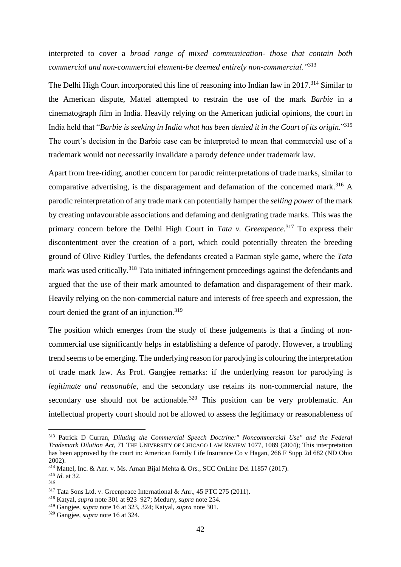interpreted to cover a *broad range of mixed communication- those that contain both commercial and non-commercial element-be deemed entirely non-commercial."*<sup>313</sup>

The Delhi High Court incorporated this line of reasoning into Indian law in 2017.<sup>314</sup> Similar to the American dispute, Mattel attempted to restrain the use of the mark *Barbie* in a cinematograph film in India. Heavily relying on the American judicial opinions, the court in India held that "*Barbie is seeking in India what has been denied it in the Court of its origin.*" 315 The court's decision in the Barbie case can be interpreted to mean that commercial use of a trademark would not necessarily invalidate a parody defence under trademark law.

Apart from free-riding, another concern for parodic reinterpretations of trade marks, similar to comparative advertising, is the disparagement and defamation of the concerned mark.<sup>316</sup> A parodic reinterpretation of any trade mark can potentially hamper the *selling power* of the mark by creating unfavourable associations and defaming and denigrating trade marks. This was the primary concern before the Delhi High Court in *Tata v. Greenpeace.*<sup>317</sup> To express their discontentment over the creation of a port, which could potentially threaten the breeding ground of Olive Ridley Turtles, the defendants created a Pacman style game, where the *Tata*  mark was used critically.<sup>318</sup> Tata initiated infringement proceedings against the defendants and argued that the use of their mark amounted to defamation and disparagement of their mark. Heavily relying on the non-commercial nature and interests of free speech and expression, the court denied the grant of an injunction.<sup>319</sup>

The position which emerges from the study of these judgements is that a finding of noncommercial use significantly helps in establishing a defence of parody. However, a troubling trend seems to be emerging. The underlying reason for parodying is colouring the interpretation of trade mark law. As Prof. Gangjee remarks: if the underlying reason for parodying is *legitimate and reasonable*, and the secondary use retains its non-commercial nature, the secondary use should not be actionable.<sup>320</sup> This position can be very problematic. An intellectual property court should not be allowed to assess the legitimacy or reasonableness of

<sup>313</sup> Patrick D Curran, *Diluting the Commercial Speech Doctrine:" Noncommercial Use" and the Federal Trademark Dilution Act*, 71 THE UNIVERSITY OF CHICAGO LAW REVIEW 1077, 1089 (2004); This interpretation has been approved by the court in: American Family Life Insurance Co v Hagan, 266 F Supp 2d 682 (ND Ohio 2002).

<sup>314</sup> Mattel, Inc. & Anr. v. Ms. Aman Bijal Mehta & Ors., SCC OnLine Del 11857 (2017).

<sup>315</sup> *Id.* at 32.

<sup>316</sup>

<sup>317</sup> Tata Sons Ltd. v. Greenpeace International & Anr., 45 PTC 275 (2011).

<sup>318</sup> Katyal, *supra* note 301 at 923–927; Medury, *supra* note 254.

<sup>319</sup> Gangjee, *supra* note 16 at 323, 324; Katyal, *supra* note 301.

<sup>320</sup> Gangjee, *supra* note 16 at 324.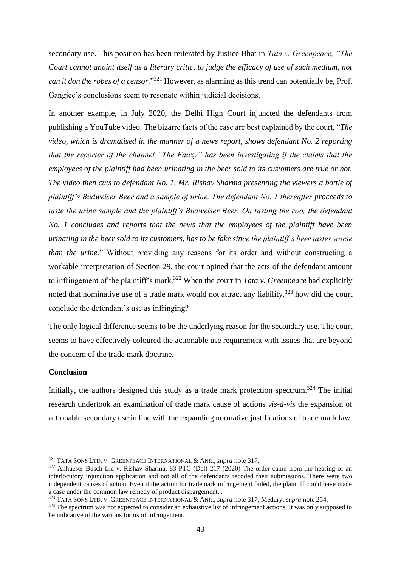secondary use. This position has been reiterated by Justice Bhat in *Tata v. Greenpeace, "The Court cannot anoint itself as a literary critic, to judge the efficacy of use of such medium, not can it don the robes of a censor.*" <sup>321</sup> However, as alarming as this trend can potentially be, Prof. Gangjee's conclusions seem to resonate within judicial decisions.

In another example, in July 2020, the Delhi High Court injuncted the defendants from publishing a YouTube video. The bizarre facts of the case are best explained by the court, "*The video, which is dramatised in the manner of a news report, shows defendant No. 2 reporting that the reporter of the channel "The Fauxy" has been investigating if the claims that the employees of the plaintiff had been urinating in the beer sold to its customers are true or not. The video then cuts to defendant No. 1, Mr. Rishav Sharma presenting the viewers a bottle of plaintiff's Budweiser Beer and a sample of urine. The defendant No. 1 thereafter proceeds to taste the urine sample and the plaintiff's Budweiser Beer. On tasting the two, the defendant No. 1 concludes and reports that the news that the employees of the plaintiff have been urinating in the beer sold to its customers, has to be fake since the plaintiff's beer tastes worse than the urine.*" Without providing any reasons for its order and without constructing a workable interpretation of Section 29, the court opined that the acts of the defendant amount to infringement of the plaintiff's mark.<sup>322</sup> When the court in *Tata v. Greenpeace* had explicitly noted that nominative use of a trade mark would not attract any liability, $323$  how did the court conclude the defendant's use as infringing?

The only logical difference seems to be the underlying reason for the secondary use. The court seems to have effectively coloured the actionable use requirement with issues that are beyond the concern of the trade mark doctrine.

## <span id="page-44-0"></span>**Conclusion**

Initially, the authors designed this study as a trade mark protection spectrum.<sup>324</sup> The initial research undertook an examination of trade mark cause of actions *vis-à-vis* the expansion of actionable secondary use in line with the expanding normative justifications of trade mark law.

<sup>321</sup> TATA SONS LTD. V. GREENPEACE INTERNATIONAL & ANR., *supra* note 317.

 $322$  Anhueser Busch Llc v. Rishav Sharma, 83 PTC (Del) 217 (2020) The order came from the hearing of an interlocutory injunction application and not all of the defendants recoded their submissions. There were two independent causes of action. Even if the action for trademark infringement failed, the plaintiff could have made a case under the common law remedy of product dispargement. .

<sup>323</sup> TATA SONS LTD. V. GREENPEACE INTERNATIONAL & ANR., *supra* note 317; Medury, *supra* note 254.

 $324$  The spectrum was not expected to consider an exhaustive list of infringement actions. It was only supposed to be indicative of the various forms of infringement.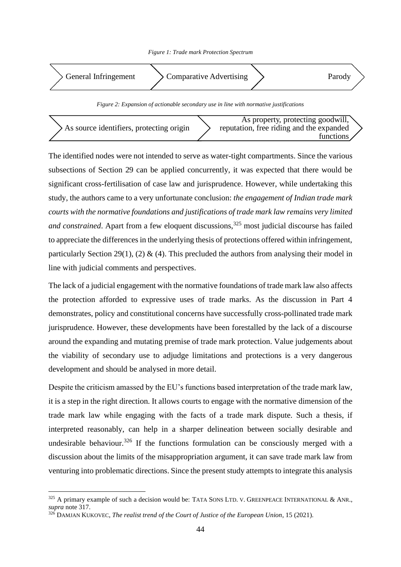



As source identifiers, protecting origin As property, protecting goodwill, reputation, free riding and the expanded functions

The identified nodes were not intended to serve as water-tight compartments. Since the various subsections of Section 29 can be applied concurrently, it was expected that there would be significant cross-fertilisation of case law and jurisprudence. However, while undertaking this study, the authors came to a very unfortunate conclusion: *the engagement of Indian trade mark courts with the normative foundations and justifications of trade mark law remains very limited and constrained.* Apart from a few eloquent discussions,<sup>325</sup> most judicial discourse has failed to appreciate the differences in the underlying thesis of protections offered within infringement, particularly Section 29(1), (2)  $\&$  (4). This precluded the authors from analysing their model in line with judicial comments and perspectives.

The lack of a judicial engagement with the normative foundations of trade mark law also affects the protection afforded to expressive uses of trade marks. As the discussion in Part 4 demonstrates, policy and constitutional concerns have successfully cross-pollinated trade mark jurisprudence. However, these developments have been forestalled by the lack of a discourse around the expanding and mutating premise of trade mark protection. Value judgements about the viability of secondary use to adjudge limitations and protections is a very dangerous development and should be analysed in more detail.

Despite the criticism amassed by the EU's functions based interpretation of the trade mark law, it is a step in the right direction. It allows courts to engage with the normative dimension of the trade mark law while engaging with the facts of a trade mark dispute. Such a thesis, if interpreted reasonably, can help in a sharper delineation between socially desirable and undesirable behaviour.<sup>326</sup> If the functions formulation can be consciously merged with a discussion about the limits of the misappropriation argument, it can save trade mark law from venturing into problematic directions. Since the present study attempts to integrate this analysis

<sup>325</sup> A primary example of such a decision would be: TATA SONS LTD. V. GREENPEACE INTERNATIONAL & ANR., *supra* note 317.

<sup>326</sup> DAMJAN KUKOVEC, *The realist trend of the Court of Justice of the European Union*, 15 (2021).